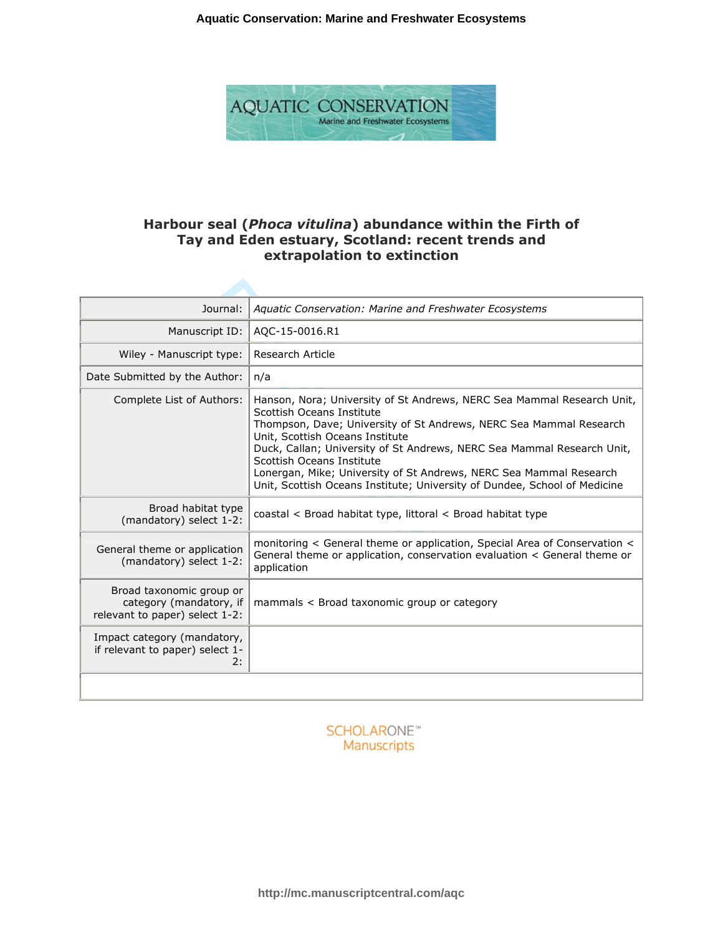

# **Harbour seal (***Phoca vitulina***) abundance within the Firth of Tay and Eden estuary, Scotland: recent trends and extrapolation to extinction**

| Journal:                                                                              | Aquatic Conservation: Marine and Freshwater Ecosystems                                                                                                                                                                                                                                                                                                                                                                                                                 |
|---------------------------------------------------------------------------------------|------------------------------------------------------------------------------------------------------------------------------------------------------------------------------------------------------------------------------------------------------------------------------------------------------------------------------------------------------------------------------------------------------------------------------------------------------------------------|
| Manuscript ID:                                                                        | AQC-15-0016.R1                                                                                                                                                                                                                                                                                                                                                                                                                                                         |
| Wiley - Manuscript type:                                                              | <b>Research Article</b>                                                                                                                                                                                                                                                                                                                                                                                                                                                |
| Date Submitted by the Author:                                                         | n/a                                                                                                                                                                                                                                                                                                                                                                                                                                                                    |
| Complete List of Authors:                                                             | Hanson, Nora; University of St Andrews, NERC Sea Mammal Research Unit,<br>Scottish Oceans Institute<br>Thompson, Dave; University of St Andrews, NERC Sea Mammal Research<br>Unit, Scottish Oceans Institute<br>Duck, Callan; University of St Andrews, NERC Sea Mammal Research Unit,<br>Scottish Oceans Institute<br>Lonergan, Mike; University of St Andrews, NERC Sea Mammal Research<br>Unit, Scottish Oceans Institute; University of Dundee, School of Medicine |
| Broad habitat type<br>(mandatory) select 1-2:                                         | coastal < Broad habitat type, littoral < Broad habitat type                                                                                                                                                                                                                                                                                                                                                                                                            |
| General theme or application<br>(mandatory) select 1-2:                               | monitoring < General theme or application, Special Area of Conservation <<br>General theme or application, conservation evaluation < General theme or<br>application                                                                                                                                                                                                                                                                                                   |
| Broad taxonomic group or<br>category (mandatory, if<br>relevant to paper) select 1-2: | mammals < Broad taxonomic group or category                                                                                                                                                                                                                                                                                                                                                                                                                            |
| Impact category (mandatory,<br>if relevant to paper) select 1-<br>2:                  |                                                                                                                                                                                                                                                                                                                                                                                                                                                                        |
|                                                                                       |                                                                                                                                                                                                                                                                                                                                                                                                                                                                        |

**SCHOLARONE**™ Manuscripts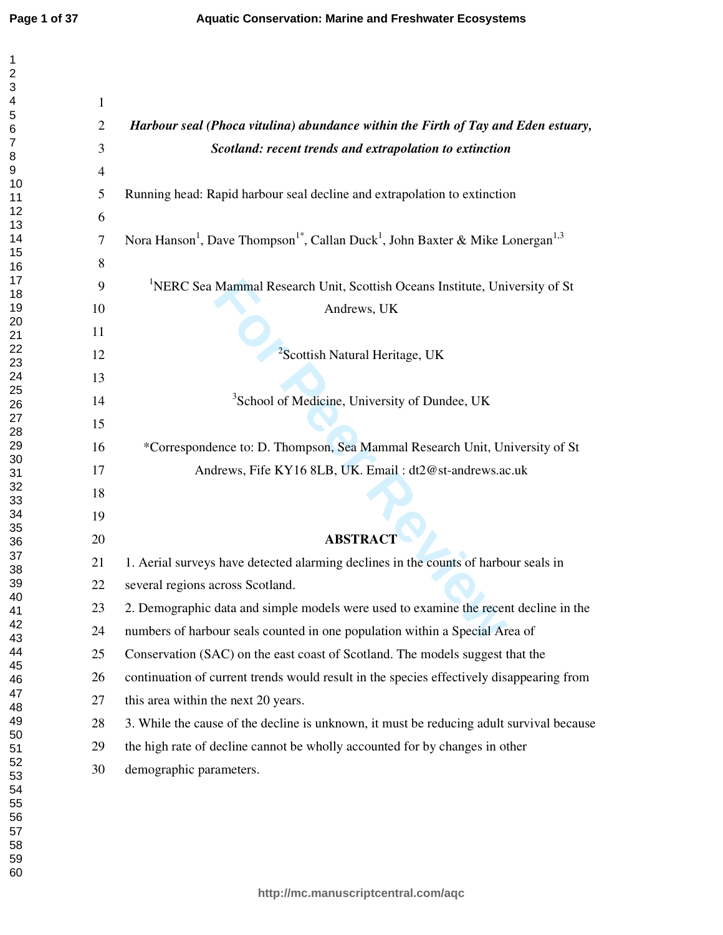$\mathbf{1}$  $\overline{2}$  $\overline{\mathbf{4}}$  $\overline{7}$  $\,8\,$ 

| $\mathbf{1}$   |                                                                                                                                |
|----------------|--------------------------------------------------------------------------------------------------------------------------------|
| $\overline{2}$ | Harbour seal (Phoca vitulina) abundance within the Firth of Tay and Eden estuary,                                              |
| 3              | Scotland: recent trends and extrapolation to extinction                                                                        |
| $\overline{4}$ |                                                                                                                                |
| 5              | Running head: Rapid harbour seal decline and extrapolation to extinction                                                       |
| 6              |                                                                                                                                |
| 7              | Nora Hanson <sup>1</sup> , Dave Thompson <sup>1*</sup> , Callan Duck <sup>1</sup> , John Baxter & Mike Lonergan <sup>1,3</sup> |
| 8              |                                                                                                                                |
| 9              | <sup>1</sup> NERC Sea Mammal Research Unit, Scottish Oceans Institute, University of St                                        |
| 10             | Andrews, UK                                                                                                                    |
| 11             |                                                                                                                                |
| 12             | <sup>2</sup> Scottish Natural Heritage, UK                                                                                     |
| 13             |                                                                                                                                |
| 14             | <sup>3</sup> School of Medicine, University of Dundee, UK                                                                      |
| 15             |                                                                                                                                |
| 16             | *Correspondence to: D. Thompson, Sea Mammal Research Unit, University of St                                                    |
| 17             | Andrews, Fife KY16 8LB, UK. Email: dt2@st-andrews.ac.uk                                                                        |
| 18             |                                                                                                                                |
| 19             |                                                                                                                                |
| 20             | <b>ABSTRACT</b>                                                                                                                |
| 21             | 1. Aerial surveys have detected alarming declines in the counts of harbour seals in                                            |
| 22             | several regions across Scotland.                                                                                               |
| 23             | 2. Demographic data and simple models were used to examine the recent decline in the                                           |
| 24             | numbers of harbour seals counted in one population within a Special Area of                                                    |
| 25             | Conservation (SAC) on the east coast of Scotland. The models suggest that the                                                  |
| 26             | continuation of current trends would result in the species effectively disappearing from                                       |
| 27             | this area within the next 20 years.                                                                                            |
| 28             | 3. While the cause of the decline is unknown, it must be reducing adult survival because                                       |
| 29             | the high rate of decline cannot be wholly accounted for by changes in other                                                    |
| 30             | demographic parameters.                                                                                                        |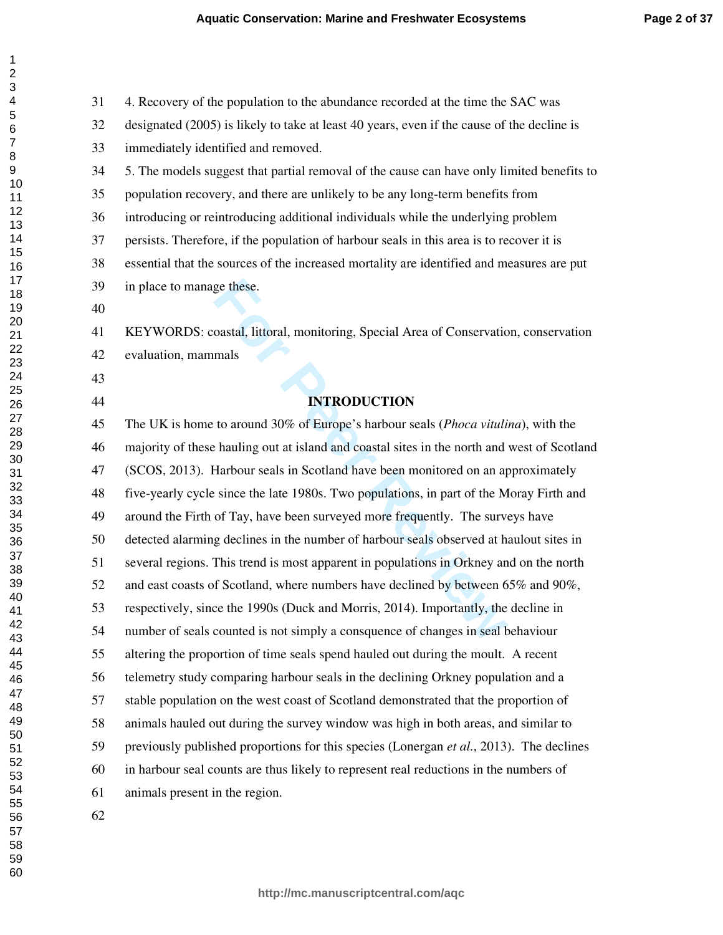31 4. Recovery of the population to the abundance recorded at the time the SAC was

ge these.<br>
oastal, littoral, monitoring, Special Area of Conservatio<br>
mals<br> **INTRODUCTION**<br>
to around 30% of Europe's harbour seals (*Phoca vituli*<br>
chauling out at island and coastal sites in the north and<br>
Harbour seals 32 designated (2005) is likely to take at least 40 years, even if the cause of the decline is 33 immediately identified and removed. 34 5. The models suggest that partial removal of the cause can have only limited benefits to 35 population recovery, and there are unlikely to be any long-term benefits from 36 introducing or reintroducing additional individuals while the underlying problem 37 persists. Therefore, if the population of harbour seals in this area is to recover it is 38 essential that the sources of the increased mortality are identified and measures are put 39 in place to manage these. 41 KEYWORDS: coastal, littoral, monitoring, Special Area of Conservation, conservation 42 evaluation, mammals **INTRODUCTION**  45 The UK is home to around 30% of Europe's harbour seals (*Phoca vitulina*), with the 46 majority of these hauling out at island and coastal sites in the north and west of Scotland 47 (SCOS, 2013). Harbour seals in Scotland have been monitored on an approximately 48 five-yearly cycle since the late 1980s. Two populations, in part of the Moray Firth and 49 around the Firth of Tay, have been surveyed more frequently. The surveys have 50 detected alarming declines in the number of harbour seals observed at haulout sites in 51 several regions. This trend is most apparent in populations in Orkney and on the north 52 and east coasts of Scotland, where numbers have declined by between 65% and 90%, 53 respectively, since the 1990s (Duck and Morris, 2014). Importantly, the decline in 54 number of seals counted is not simply a consquence of changes in seal behaviour 55 altering the proportion of time seals spend hauled out during the moult. A recent 56 telemetry study comparing harbour seals in the declining Orkney population and a 57 stable population on the west coast of Scotland demonstrated that the proportion of 58 animals hauled out during the survey window was high in both areas, and similar to 59 previously published proportions for this species (Lonergan *et al.*, 2013). The declines 60 in harbour seal counts are thus likely to represent real reductions in the numbers of 61 animals present in the region.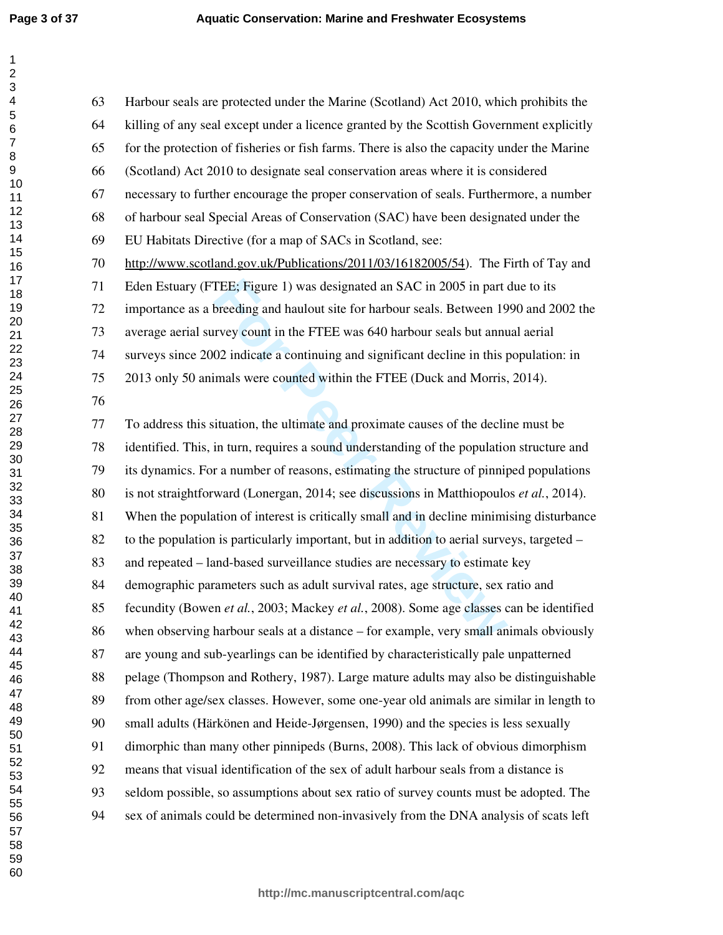$\mathbf{1}$  $\overline{2}$ 3  $\overline{\mathbf{4}}$ 5 6  $\overline{7}$  $\,8\,$ 9

| 63 | Harbour seals are protected under the Marine (Scotland) Act 2010, which prohibits the      |
|----|--------------------------------------------------------------------------------------------|
| 64 | killing of any seal except under a licence granted by the Scottish Government explicitly   |
| 65 | for the protection of fisheries or fish farms. There is also the capacity under the Marine |
| 66 | (Scotland) Act 2010 to designate seal conservation areas where it is considered            |
| 67 | necessary to further encourage the proper conservation of seals. Furthermore, a number     |
| 68 | of harbour seal Special Areas of Conservation (SAC) have been designated under the         |
| 69 | EU Habitats Directive (for a map of SACs in Scotland, see:                                 |
| 70 | http://www.scotland.gov.uk/Publications/2011/03/16182005/54). The Firth of Tay and         |
| 71 | Eden Estuary (FTEE; Figure 1) was designated an SAC in 2005 in part due to its             |
| 72 | importance as a breeding and haulout site for harbour seals. Between 1990 and 2002 the     |
| 73 | average aerial survey count in the FTEE was 640 harbour seals but annual aerial            |
| 74 | surveys since 2002 indicate a continuing and significant decline in this population: in    |
| 75 | 2013 only 50 animals were counted within the FTEE (Duck and Morris, 2014).                 |
| 76 |                                                                                            |
| 77 | To address this situation, the ultimate and proximate causes of the decline must be        |
| 78 | identified. This, in turn, requires a sound understanding of the population structure and  |
| 79 | its dynamics. For a number of reasons, estimating the structure of pinniped populations    |
| 80 | is not straightforward (Lonergan, 2014; see discussions in Matthiopoulos et al., 2014).    |
| 81 | When the population of interest is critically small and in decline minimising disturbance  |
| 82 | to the population is particularly important, but in addition to aerial surveys, targeted – |
| 83 | and repeated – land-based surveillance studies are necessary to estimate key               |
| 84 | demographic parameters such as adult survival rates, age structure, sex ratio and          |
| 85 | fecundity (Bowen et al., 2003; Mackey et al., 2008). Some age classes can be identified    |
| 86 | when observing harbour seals at a distance $-$ for example, very small animals obviously   |
| 87 | are young and sub-yearlings can be identified by characteristically pale unpatterned       |
| 88 | pelage (Thompson and Rothery, 1987). Large mature adults may also be distinguishable       |
| 89 | from other age/sex classes. However, some one-year old animals are similar in length to    |
| 90 | small adults (Härkönen and Heide-Jørgensen, 1990) and the species is less sexually         |
| 91 | dimorphic than many other pinnipeds (Burns, 2008). This lack of obvious dimorphism         |
| 92 | means that visual identification of the sex of adult harbour seals from a distance is      |
| 93 | seldom possible, so assumptions about sex ratio of survey counts must be adopted. The      |
| 94 | sex of animals could be determined non-invasively from the DNA analysis of scats left      |
|    |                                                                                            |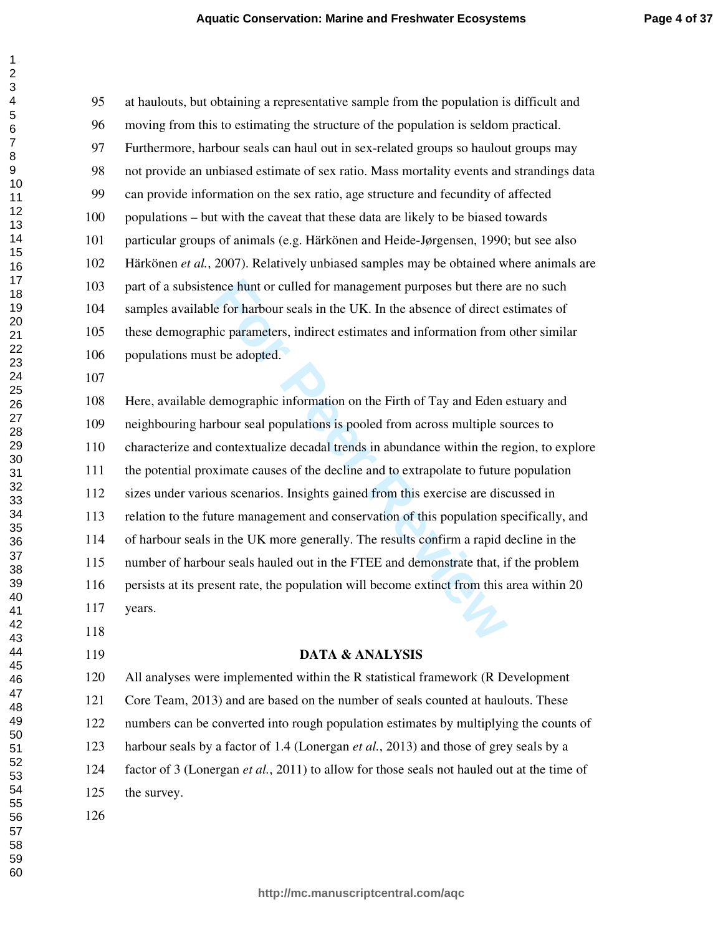race hunt or culled for management purposes but there a<br>e for harbour seals in the UK. In the absence of direct e<br>ic parameters, indirect estimates and information from<br>the adopted.<br>lemographic information on the Firth of 95 at haulouts, but obtaining a representative sample from the population is difficult and 96 moving from this to estimating the structure of the population is seldom practical. 97 Furthermore, harbour seals can haul out in sex-related groups so haulout groups may 98 not provide an unbiased estimate of sex ratio. Mass mortality events and strandings data 99 can provide information on the sex ratio, age structure and fecundity of affected 100 populations – but with the caveat that these data are likely to be biased towards 101 particular groups of animals (e.g. Härkönen and Heide-Jørgensen, 1990; but see also 102 Härkönen *et al.*, 2007). Relatively unbiased samples may be obtained where animals are 103 part of a subsistence hunt or culled for management purposes but there are no such 104 samples available for harbour seals in the UK. In the absence of direct estimates of 105 these demographic parameters, indirect estimates and information from other similar 106 populations must be adopted. 108 Here, available demographic information on the Firth of Tay and Eden estuary and 109 neighbouring harbour seal populations is pooled from across multiple sources to 110 characterize and contextualize decadal trends in abundance within the region, to explore

111 the potential proximate causes of the decline and to extrapolate to future population 112 sizes under various scenarios. Insights gained from this exercise are discussed in 113 relation to the future management and conservation of this population specifically, and 114 of harbour seals in the UK more generally. The results confirm a rapid decline in the 115 number of harbour seals hauled out in the FTEE and demonstrate that, if the problem 116 persists at its present rate, the population will become extinct from this area within 20 117 years.

- 
- 

### **DATA & ANALYSIS**

120 All analyses were implemented within the R statistical framework (R Development

121 Core Team, 2013) and are based on the number of seals counted at haulouts. These

122 numbers can be converted into rough population estimates by multiplying the counts of

123 harbour seals by a factor of 1.4 (Lonergan *et al.*, 2013) and those of grey seals by a

124 factor of 3 (Lonergan *et al.*, 2011) to allow for those seals not hauled out at the time of

125 the survey.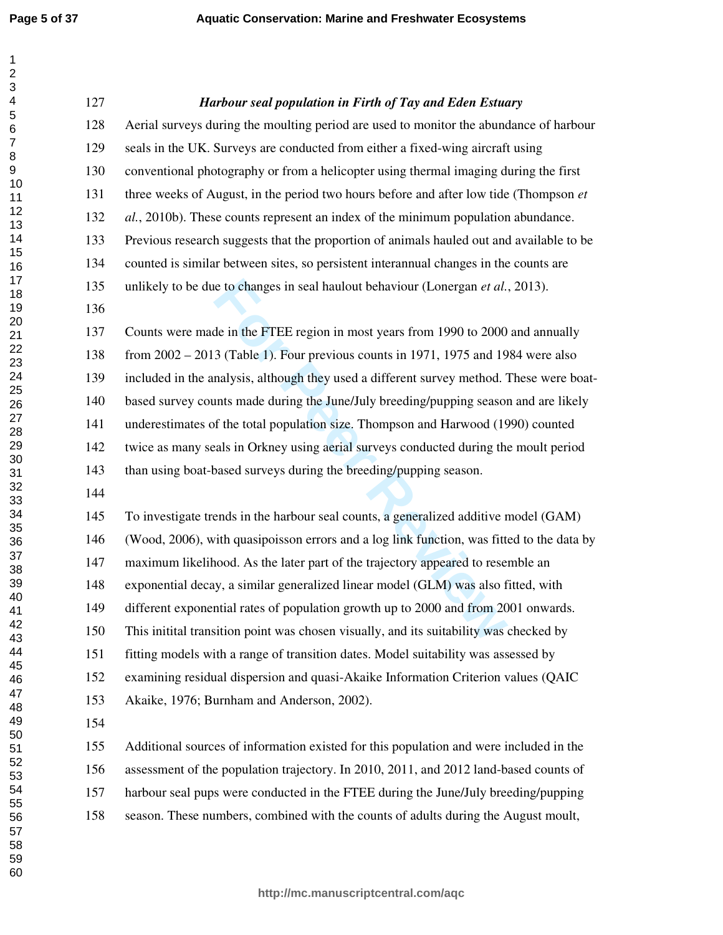$\mathbf{1}$  $\overline{2}$  $\overline{\mathbf{4}}$  $\overline{7}$  $\,8\,$ 

| 127 | Harbour seal population in Firth of Tay and Eden Estuary                                  |
|-----|-------------------------------------------------------------------------------------------|
| 128 | Aerial surveys during the moulting period are used to monitor the abundance of harbour    |
| 129 | seals in the UK. Surveys are conducted from either a fixed-wing aircraft using            |
| 130 | conventional photography or from a helicopter using thermal imaging during the first      |
| 131 | three weeks of August, in the period two hours before and after low tide (Thompson et     |
| 132 | al., 2010b). These counts represent an index of the minimum population abundance.         |
| 133 | Previous research suggests that the proportion of animals hauled out and available to be  |
| 134 | counted is similar between sites, so persistent interannual changes in the counts are     |
| 135 | unlikely to be due to changes in seal haulout behaviour (Lonergan et al., 2013).          |
| 136 |                                                                                           |
| 137 | Counts were made in the FTEE region in most years from 1990 to 2000 and annually          |
| 138 | from $2002 - 2013$ (Table 1). Four previous counts in 1971, 1975 and 1984 were also       |
| 139 | included in the analysis, although they used a different survey method. These were boat-  |
| 140 | based survey counts made during the June/July breeding/pupping season and are likely      |
| 141 | underestimates of the total population size. Thompson and Harwood (1990) counted          |
| 142 | twice as many seals in Orkney using aerial surveys conducted during the moult period      |
| 143 | than using boat-based surveys during the breeding/pupping season.                         |
| 144 |                                                                                           |
| 145 | To investigate trends in the harbour seal counts, a generalized additive model (GAM)      |
| 146 | (Wood, 2006), with quasipoisson errors and a log link function, was fitted to the data by |
| 147 | maximum likelihood. As the later part of the trajectory appeared to resemble an           |
| 148 | exponential decay, a similar generalized linear model (GLM) was also fitted, with         |
| 149 | different exponential rates of population growth up to 2000 and from 2001 onwards.        |
| 150 | This initital transition point was chosen visually, and its suitability was checked by    |
| 151 | fitting models with a range of transition dates. Model suitability was assessed by        |
| 152 | examining residual dispersion and quasi-Akaike Information Criterion values (QAIC         |
| 153 | Akaike, 1976; Burnham and Anderson, 2002).                                                |
| 154 |                                                                                           |
| 155 | Additional sources of information existed for this population and were included in the    |
| 156 | assessment of the population trajectory. In 2010, 2011, and 2012 land-based counts of     |
| 157 | harbour seal pups were conducted in the FTEE during the June/July breeding/pupping        |
| 158 | season. These numbers, combined with the counts of adults during the August moult,        |
|     |                                                                                           |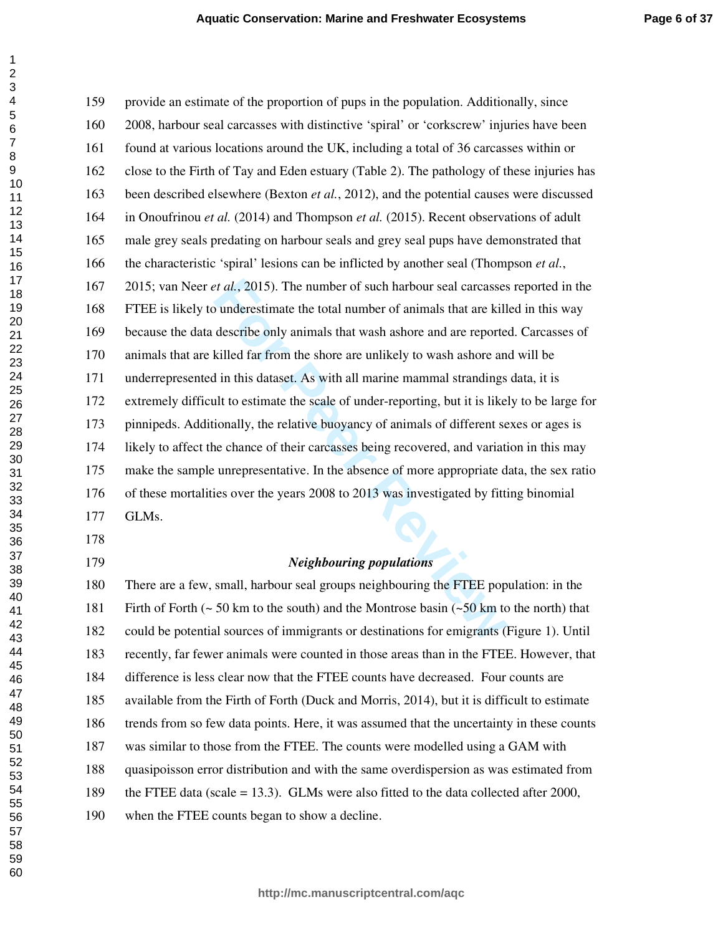*Ext al.*, 2015). The number of such harbour seal carcasses<br>
bunderestimate the total number of animals that are kill<br>
describe only animals that wash ashore and are reporte<br>
killed far from the shore are unlikely to wash 159 provide an estimate of the proportion of pups in the population. Additionally, since 160 2008, harbour seal carcasses with distinctive 'spiral' or 'corkscrew' injuries have been 161 found at various locations around the UK, including a total of 36 carcasses within or 162 close to the Firth of Tay and Eden estuary (Table 2). The pathology of these injuries has 163 been described elsewhere (Bexton *et al.*, 2012), and the potential causes were discussed 164 in Onoufrinou *et al.* (2014) and Thompson *et al.* (2015). Recent observations of adult 165 male grey seals predating on harbour seals and grey seal pups have demonstrated that 166 the characteristic 'spiral' lesions can be inflicted by another seal (Thompson *et al.*, 167 2015; van Neer *et al.*, 2015). The number of such harbour seal carcasses reported in the 168 FTEE is likely to underestimate the total number of animals that are killed in this way 169 because the data describe only animals that wash ashore and are reported. Carcasses of 170 animals that are killed far from the shore are unlikely to wash ashore and will be 171 underrepresented in this dataset. As with all marine mammal strandings data, it is 172 extremely difficult to estimate the scale of under-reporting, but it is likely to be large for 173 pinnipeds. Additionally, the relative buoyancy of animals of different sexes or ages is 174 likely to affect the chance of their carcasses being recovered, and variation in this may 175 make the sample unrepresentative. In the absence of more appropriate data, the sex ratio 176 of these mortalities over the years 2008 to 2013 was investigated by fitting binomial 177 GLMs. 

### *Neighbouring populations*

180 There are a few, small, harbour seal groups neighbouring the FTEE population: in the 181 Firth of Forth (~ 50 km to the south) and the Montrose basin (~50 km to the north) that 182 could be potential sources of immigrants or destinations for emigrants (Figure 1). Until 183 recently, far fewer animals were counted in those areas than in the FTEE. However, that 184 difference is less clear now that the FTEE counts have decreased. Four counts are 185 available from the Firth of Forth (Duck and Morris, 2014), but it is difficult to estimate 186 trends from so few data points. Here, it was assumed that the uncertainty in these counts 187 was similar to those from the FTEE. The counts were modelled using a GAM with 188 quasipoisson error distribution and with the same overdispersion as was estimated from 189 the FTEE data (scale = 13.3). GLMs were also fitted to the data collected after 2000, 190 when the FTEE counts began to show a decline.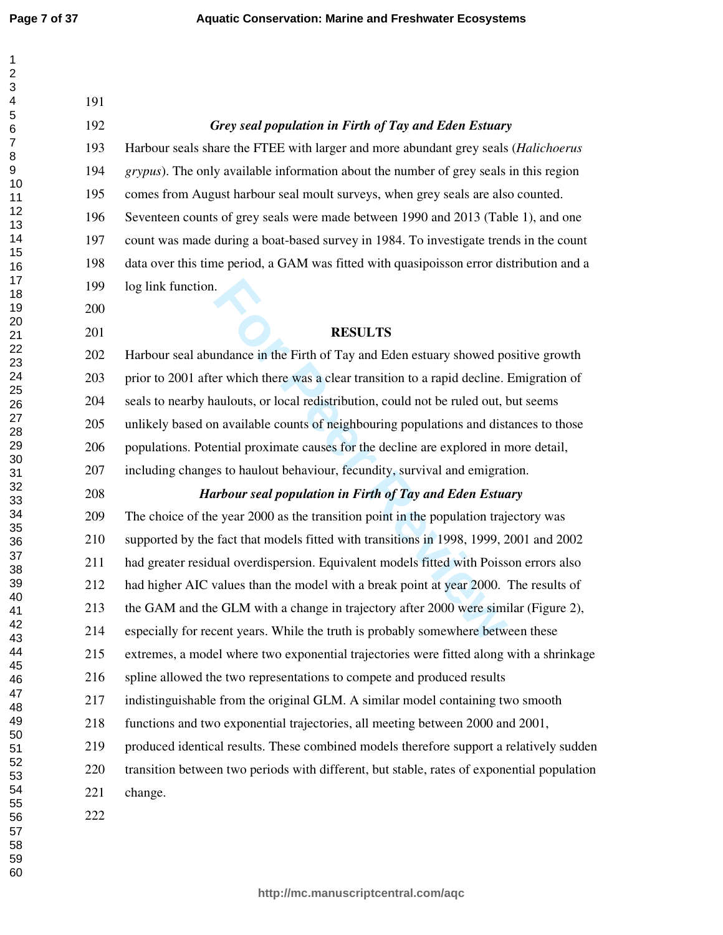*Grey seal population in Firth of Tay and Eden Estuary* 

| 1                 |  |
|-------------------|--|
|                   |  |
|                   |  |
| 3<br>4            |  |
| 5                 |  |
|                   |  |
| 6                 |  |
| $\overline{7}$    |  |
| 8                 |  |
| 9                 |  |
| 10                |  |
| 11                |  |
|                   |  |
|                   |  |
|                   |  |
|                   |  |
|                   |  |
|                   |  |
|                   |  |
|                   |  |
| 1234567890122234- |  |
|                   |  |
|                   |  |
|                   |  |
|                   |  |
|                   |  |
| 25                |  |
| 26                |  |
| 27                |  |
| 28                |  |
| 29                |  |
| 30                |  |
| 31                |  |
| 3'                |  |
|                   |  |
| 33                |  |
| 34                |  |
| $35\,$            |  |
|                   |  |
| 36<br>37          |  |
| 38                |  |
| 39                |  |
| 40                |  |
| 41                |  |
| 42                |  |
| 43                |  |
| 44                |  |
| 45                |  |
| 46                |  |
| 47                |  |
|                   |  |
| 48                |  |
| 49                |  |
| 50                |  |
| 51                |  |
| 52                |  |
| 53                |  |
| 54                |  |
| 55                |  |
|                   |  |
| 56<br>57<br>58    |  |
|                   |  |
| 59                |  |
|                   |  |

| 193 | Harbour seals share the FTEE with larger and more abundant grey seals (Halichoerus            |
|-----|-----------------------------------------------------------------------------------------------|
| 194 | <i>grypus</i> ). The only available information about the number of grey seals in this region |
| 195 | comes from August harbour seal moult surveys, when grey seals are also counted.               |
| 196 | Seventeen counts of grey seals were made between 1990 and 2013 (Table 1), and one             |
| 197 | count was made during a boat-based survey in 1984. To investigate trends in the count         |
| 198 | data over this time period, a GAM was fitted with quasipoisson error distribution and a       |
| 199 | log link function.                                                                            |
| 200 |                                                                                               |
| 201 | <b>RESULTS</b>                                                                                |
| 202 | Harbour seal abundance in the Firth of Tay and Eden estuary showed positive growth            |
| 203 | prior to 2001 after which there was a clear transition to a rapid decline. Emigration of      |
| 204 | seals to nearby haulouts, or local redistribution, could not be ruled out, but seems          |
| 205 | unlikely based on available counts of neighbouring populations and distances to those         |
| 206 | populations. Potential proximate causes for the decline are explored in more detail,          |
| 207 | including changes to haulout behaviour, fecundity, survival and emigration.                   |
| 208 | Harbour seal population in Firth of Tay and Eden Estuary                                      |
| 209 | The choice of the year 2000 as the transition point in the population trajectory was          |
| 210 | supported by the fact that models fitted with transitions in 1998, 1999, 2001 and 2002        |
| 211 | had greater residual overdispersion. Equivalent models fitted with Poisson errors also        |
| 212 | had higher AIC values than the model with a break point at year 2000. The results of          |
| 213 | the GAM and the GLM with a change in trajectory after 2000 were similar (Figure 2),           |
| 214 | especially for recent years. While the truth is probably somewhere between these              |

215 extremes, a model where two exponential trajectories were fitted along with a shrinkage

- 216 spline allowed the two representations to compete and produced results
- 217 indistinguishable from the original GLM. A similar model containing two smooth
- 218 functions and two exponential trajectories, all meeting between 2000 and 2001,
- 219 produced identical results. These combined models therefore support a relatively sudden
- 220 transition between two periods with different, but stable, rates of exponential population
- 221 change.
-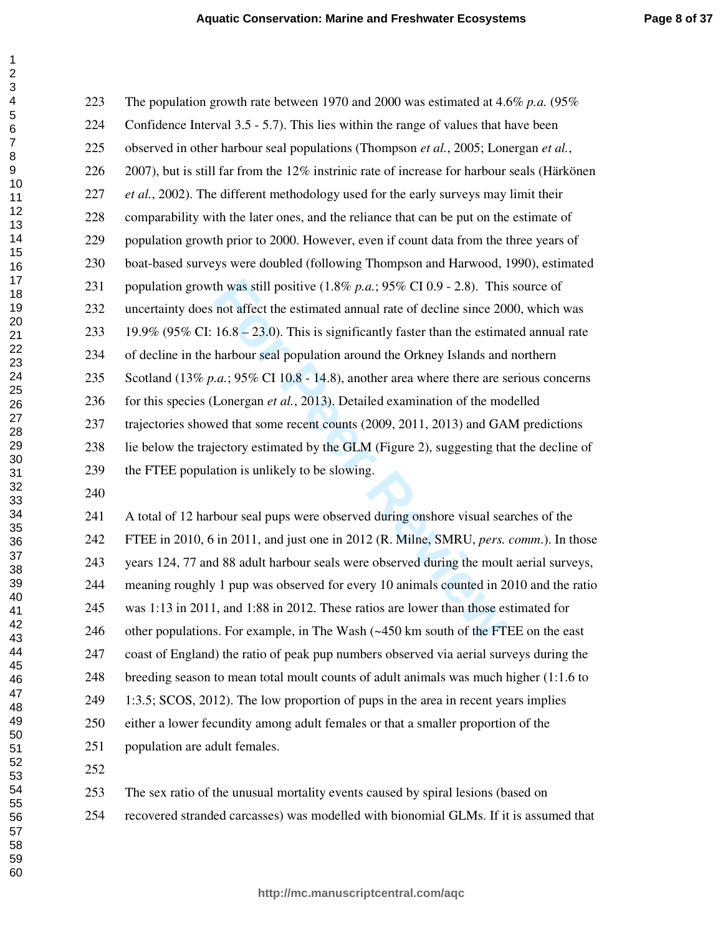| The population growth rate between 1970 and 2000 was estimated at 4.6% p.a. $(95\%$              |
|--------------------------------------------------------------------------------------------------|
| Confidence Interval 3.5 - 5.7). This lies within the range of values that have been              |
| observed in other harbour seal populations (Thompson et al., 2005; Lonergan et al.,              |
| 2007), but is still far from the $12\%$ instrinic rate of increase for harbour seals (Härkönen   |
| <i>et al.</i> , 2002). The different methodology used for the early surveys may limit their      |
| comparability with the later ones, and the reliance that can be put on the estimate of           |
| population growth prior to 2000. However, even if count data from the three years of             |
| boat-based surveys were doubled (following Thompson and Harwood, 1990), estimated                |
| population growth was still positive $(1.8\% p.a.; 95\% \text{ CI } 0.9 - 2.8)$ . This source of |
| uncertainty does not affect the estimated annual rate of decline since 2000, which was           |
| 19.9% (95% CI: 16.8 – 23.0). This is significantly faster than the estimated annual rate         |
| of decline in the harbour seal population around the Orkney Islands and northern                 |
| Scotland (13% p.a.; 95% CI 10.8 - 14.8), another area where there are serious concerns           |
| for this species (Lonergan et al., 2013). Detailed examination of the modelled                   |
| trajectories showed that some recent counts (2009, 2011, 2013) and GAM predictions               |
| lie below the trajectory estimated by the GLM (Figure 2), suggesting that the decline of         |
| the FTEE population is unlikely to be slowing.                                                   |
|                                                                                                  |
| A total of 12 harbour seal pups were observed during onshore visual searches of the              |
| FTEE in 2010, 6 in 2011, and just one in 2012 (R. Milne, SMRU, <i>pers. comm.</i> ). In those    |
| years 124, 77 and 88 adult harbour seals were observed during the moult aerial surveys,          |
| meaning roughly 1 pup was observed for every 10 animals counted in 2010 and the ratio            |
| was 1:13 in 2011, and 1:88 in 2012. These ratios are lower than those estimated for              |
| other populations. For example, in The Wash (~450 km south of the FTEE on the east               |
|                                                                                                  |

241 A total of 12 harbour seal pups were observed during onshore visual searches of the 242 FTEE in 2010, 6 in 2011, and just one in 2012 (R. Milne, SMRU, *pers. comm*.). In those 243 years 124, 77 and 88 adult harbour seals were observed during the moult aerial surveys, 244 meaning roughly 1 pup was observed for every 10 animals counted in 2010 and the ratio 245 was 1:13 in 2011, and 1:88 in 2012. These ratios are lower than those estimated for 246 other populations. For example, in The Wash (~450 km south of the FTEE on the east 247 coast of England) the ratio of peak pup numbers observed via aerial surveys during the 248 breeding season to mean total moult counts of adult animals was much higher (1:1.6 to 249 1:3.5; SCOS, 2012). The low proportion of pups in the area in recent years implies 250 either a lower fecundity among adult females or that a smaller proportion of the 251 population are adult females.

- 253 The sex ratio of the unusual mortality events caused by spiral lesions (based on
- 254 recovered stranded carcasses) was modelled with bionomial GLMs. If it is assumed that

 $\mathbf{1}$  $\overline{2}$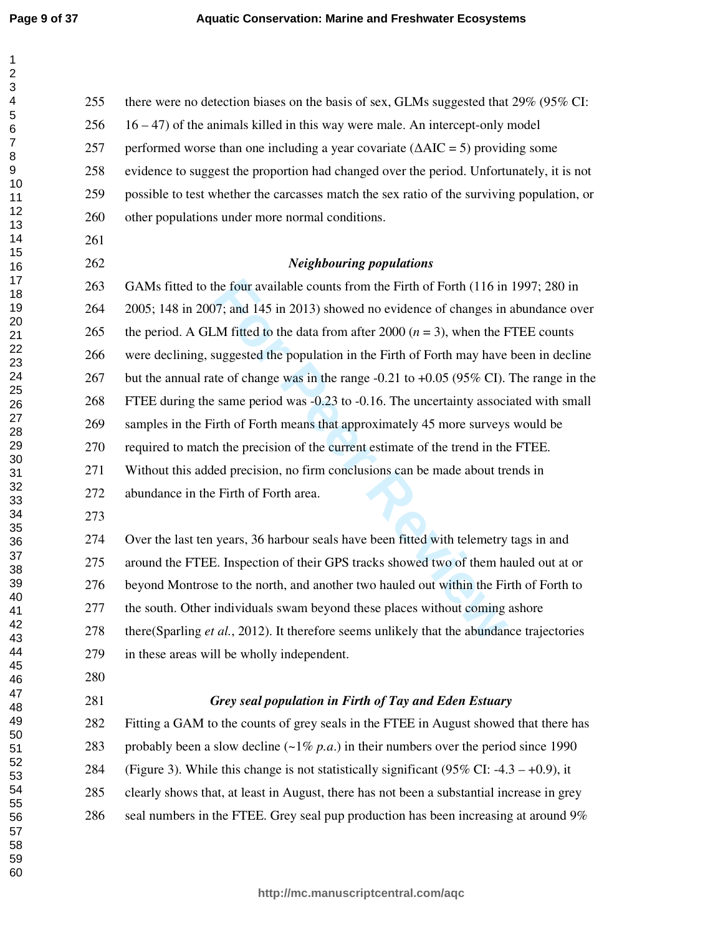$\mathbf{1}$  $\overline{2}$  $\overline{\mathbf{4}}$  $\overline{7}$  $\,8\,$ 

| - 11<br>$\boldsymbol{2}$<br>3 |     |                                                                                                    |
|-------------------------------|-----|----------------------------------------------------------------------------------------------------|
| 4                             | 255 | there were no detection biases on the basis of sex, GLMs suggested that 29% (95% CI:               |
| 5<br>6                        | 256 | $16 - 47$ ) of the animals killed in this way were male. An intercept-only model                   |
| $\overline{7}$<br>8           | 257 | performed worse than one including a year covariate $(\Delta AIC = 5)$ providing some              |
| 9                             | 258 | evidence to suggest the proportion had changed over the period. Unfortunately, it is not           |
| 10<br>11                      | 259 | possible to test whether the carcasses match the sex ratio of the surviving population, or         |
| 12<br>13                      | 260 | other populations under more normal conditions.                                                    |
| 14                            | 261 |                                                                                                    |
| 15<br>16                      | 262 | <b>Neighbouring populations</b>                                                                    |
| 17<br>18                      | 263 | GAMs fitted to the four available counts from the Firth of Forth (116 in 1997; 280 in              |
| 19                            | 264 | 2005; 148 in 2007; and 145 in 2013) showed no evidence of changes in abundance over                |
| 20<br>21                      | 265 | the period. A GLM fitted to the data from after 2000 $(n = 3)$ , when the FTEE counts              |
| 22<br>23                      | 266 | were declining, suggested the population in the Firth of Forth may have been in decline            |
| 24<br>25                      | 267 | but the annual rate of change was in the range $-0.21$ to $+0.05$ (95% CI). The range in the       |
| 26                            | 268 | FTEE during the same period was -0.23 to -0.16. The uncertainty associated with small              |
| 27<br>28                      | 269 | samples in the Firth of Forth means that approximately 45 more surveys would be                    |
| 29<br>30                      | 270 | required to match the precision of the current estimate of the trend in the FTEE.                  |
| 31                            | 271 | Without this added precision, no firm conclusions can be made about trends in                      |
| 32<br>33                      | 272 | abundance in the Firth of Forth area.                                                              |
| 34<br>35                      | 273 |                                                                                                    |
| 36                            | 274 | Over the last ten years, 36 harbour seals have been fitted with telemetry tags in and              |
| 37<br>38                      | 275 | around the FTEE. Inspection of their GPS tracks showed two of them hauled out at or                |
| 39<br>40                      | 276 | beyond Montrose to the north, and another two hauled out within the Firth of Forth to              |
| 41                            | 277 | the south. Other individuals swam beyond these places without coming ashore                        |
| 42<br>43                      | 278 | there (Sparling <i>et al.</i> , 2012). It therefore seems unlikely that the abundance trajectories |
| 44<br>45                      | 279 | in these areas will be wholly independent.                                                         |
| 46                            | 280 |                                                                                                    |
| 47<br>48                      | 281 | Grey seal population in Firth of Tay and Eden Estuary                                              |
| 49<br>50                      | 282 | Fitting a GAM to the counts of grey seals in the FTEE in August showed that there has              |
| 51                            | 283 | probably been a slow decline $(\sim 1\% p.a.)$ in their numbers over the period since 1990         |
| 52<br>53                      | 284 | (Figure 3). While this change is not statistically significant (95% CI: $-4.3 - +0.9$ ), it        |
| 54<br>55                      | 285 | clearly shows that, at least in August, there has not been a substantial increase in grey          |
| 56                            | 286 | seal numbers in the FTEE. Grey seal pup production has been increasing at around 9%                |
| 57<br>58                      |     |                                                                                                    |
| 59                            |     |                                                                                                    |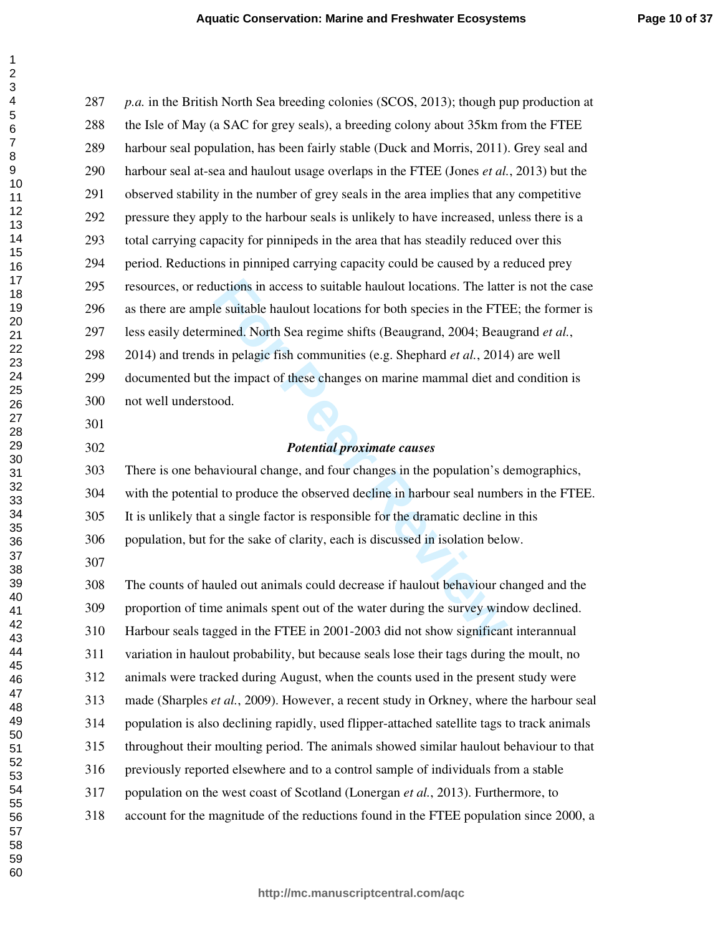uctions in access to suitable haulout locations. The latter-<br> **Formulation** elements of the suitable haulout locations for both species in the FTE-<br>
Formulation Exercution Search in pelagic fish communities (e.g. Shephard *p.a.* in the British North Sea breeding colonies (SCOS, 2013); though pup production at 288 the Isle of May (a SAC for grey seals), a breeding colony about 35km from the FTEE 289 harbour seal population, has been fairly stable (Duck and Morris, 2011). Grey seal and 290 harbour seal at-sea and haulout usage overlaps in the FTEE (Jones *et al.*, 2013) but the 291 observed stability in the number of grey seals in the area implies that any competitive 292 pressure they apply to the harbour seals is unlikely to have increased, unless there is a 293 total carrying capacity for pinnipeds in the area that has steadily reduced over this 294 period. Reductions in pinniped carrying capacity could be caused by a reduced prey 295 resources, or reductions in access to suitable haulout locations. The latter is not the case 296 as there are ample suitable haulout locations for both species in the FTEE; the former is 297 less easily determined. North Sea regime shifts (Beaugrand, 2004; Beaugrand *et al.*, 298 2014) and trends in pelagic fish communities (e.g. Shephard *et al.*, 2014) are well 299 documented but the impact of these changes on marine mammal diet and condition is 300 not well understood. *Potential proximate causes*  303 There is one behavioural change, and four changes in the population's demographics, 304 with the potential to produce the observed decline in harbour seal numbers in the FTEE. 305 It is unlikely that a single factor is responsible for the dramatic decline in this 306 population, but for the sake of clarity, each is discussed in isolation below. 308 The counts of hauled out animals could decrease if haulout behaviour changed and the 309 proportion of time animals spent out of the water during the survey window declined. 310 Harbour seals tagged in the FTEE in 2001-2003 did not show significant interannual 311 variation in haulout probability, but because seals lose their tags during the moult, no 312 animals were tracked during August, when the counts used in the present study were 313 made (Sharples *et al.*, 2009). However, a recent study in Orkney, where the harbour seal 314 population is also declining rapidly, used flipper-attached satellite tags to track animals 315 throughout their moulting period. The animals showed similar haulout behaviour to that 316 previously reported elsewhere and to a control sample of individuals from a stable 317 population on the west coast of Scotland (Lonergan *et al.*, 2013). Furthermore, to 318 account for the magnitude of the reductions found in the FTEE population since 2000, a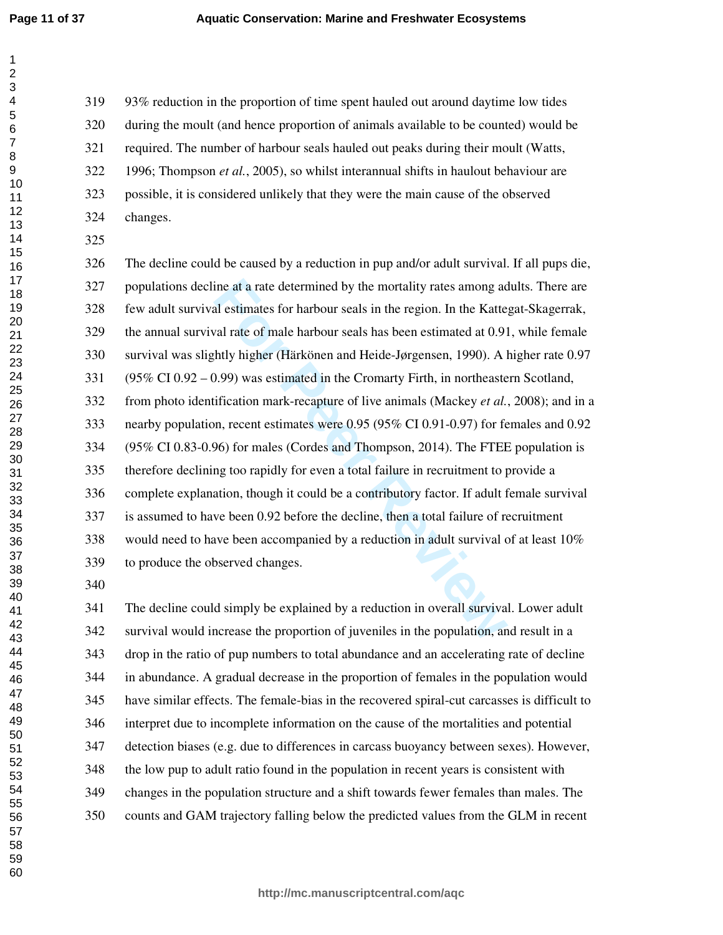$\mathbf{1}$ 

319 93% reduction in the proportion of time spent hauled out around daytime low tides 320 during the moult (and hence proportion of animals available to be counted) would be 321 required. The number of harbour seals hauled out peaks during their moult (Watts, 322 1996; Thompson *et al.*, 2005), so whilst interannual shifts in haulout behaviour are 323 possible, it is considered unlikely that they were the main cause of the observed 324 changes.

ine at a rate determined by the mortality rates among adel estimates for harbour seals in the region. In the Katte<br>
ral rate of male harbour seals has been estimated at 0.91<br>
thuly higher (Härkönen and Heide-Jørgensen, 199 326 The decline could be caused by a reduction in pup and/or adult survival. If all pups die, 327 populations decline at a rate determined by the mortality rates among adults. There are 328 few adult survival estimates for harbour seals in the region. In the Kattegat-Skagerrak, 329 the annual survival rate of male harbour seals has been estimated at 0.91, while female 330 survival was slightly higher (Härkönen and Heide-Jørgensen, 1990). A higher rate 0.97 331 (95% CI 0.92 – 0.99) was estimated in the Cromarty Firth, in northeastern Scotland, 332 from photo identification mark-recapture of live animals (Mackey *et al.*, 2008); and in a 333 nearby population, recent estimates were 0.95 (95% CI 0.91-0.97) for females and 0.92 334 (95% CI 0.83-0.96) for males (Cordes and Thompson, 2014). The FTEE population is 335 therefore declining too rapidly for even a total failure in recruitment to provide a 336 complete explanation, though it could be a contributory factor. If adult female survival 337 is assumed to have been 0.92 before the decline, then a total failure of recruitment 338 would need to have been accompanied by a reduction in adult survival of at least 10% 339 to produce the observed changes.

341 The decline could simply be explained by a reduction in overall survival. Lower adult 342 survival would increase the proportion of juveniles in the population, and result in a 343 drop in the ratio of pup numbers to total abundance and an accelerating rate of decline 344 in abundance. A gradual decrease in the proportion of females in the population would 345 have similar effects. The female-bias in the recovered spiral-cut carcasses is difficult to 346 interpret due to incomplete information on the cause of the mortalities and potential 347 detection biases (e.g. due to differences in carcass buoyancy between sexes). However, 348 the low pup to adult ratio found in the population in recent years is consistent with 349 changes in the population structure and a shift towards fewer females than males. The 350 counts and GAM trajectory falling below the predicted values from the GLM in recent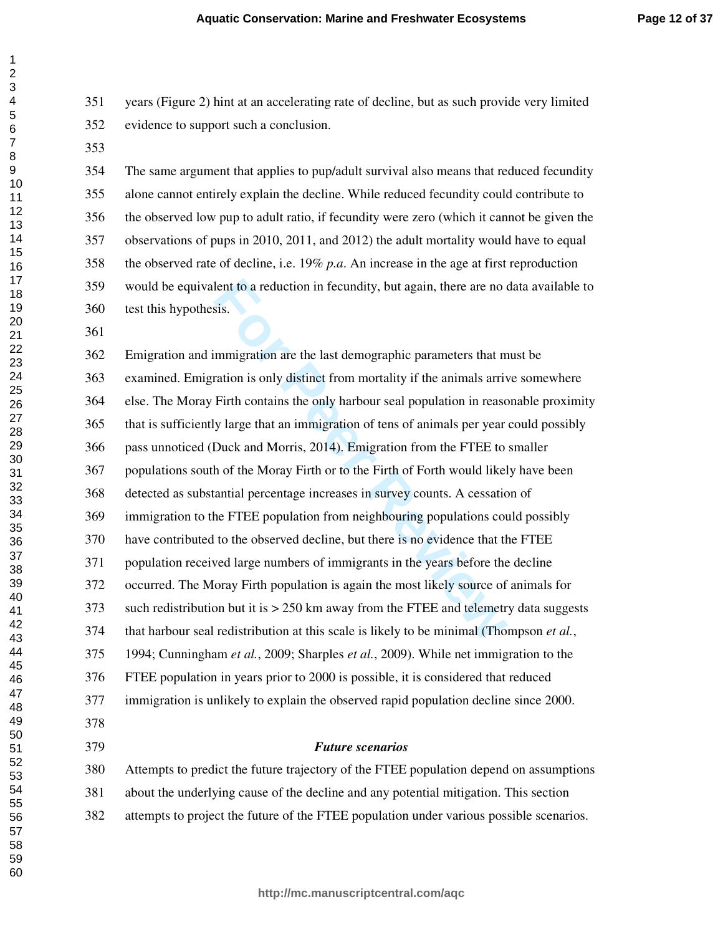351 years (Figure 2) hint at an accelerating rate of decline, but as such provide very limited 352 evidence to support such a conclusion.

354 The same argument that applies to pup/adult survival also means that reduced fecundity 355 alone cannot entirely explain the decline. While reduced fecundity could contribute to 356 the observed low pup to adult ratio, if fecundity were zero (which it cannot be given the 357 observations of pups in 2010, 2011, and 2012) the adult mortality would have to equal 358 the observed rate of decline, i.e. 19% *p.a*. An increase in the age at first reproduction 359 would be equivalent to a reduction in fecundity, but again, there are no data available to 360 test this hypothesis.

lent to a reduction in fecundity, but again, there are no osis.<br>
Sis.<br>
Sis.<br> **Example 15** and the last demographic parameters that m<br>
Firth contains the only harbour seal population in reaso<br>
y large that an immigration of 362 Emigration and immigration are the last demographic parameters that must be 363 examined. Emigration is only distinct from mortality if the animals arrive somewhere 364 else. The Moray Firth contains the only harbour seal population in reasonable proximity 365 that is sufficiently large that an immigration of tens of animals per year could possibly 366 pass unnoticed (Duck and Morris, 2014). Emigration from the FTEE to smaller 367 populations south of the Moray Firth or to the Firth of Forth would likely have been 368 detected as substantial percentage increases in survey counts. A cessation of 369 immigration to the FTEE population from neighbouring populations could possibly 370 have contributed to the observed decline, but there is no evidence that the FTEE 371 population received large numbers of immigrants in the years before the decline 372 occurred. The Moray Firth population is again the most likely source of animals for 373 such redistribution but it is > 250 km away from the FTEE and telemetry data suggests 374 that harbour seal redistribution at this scale is likely to be minimal (Thompson *et al.*, 375 1994; Cunningham *et al.*, 2009; Sharples *et al.*, 2009). While net immigration to the 376 FTEE population in years prior to 2000 is possible, it is considered that reduced 377 immigration is unlikely to explain the observed rapid population decline since 2000. *Future scenarios* 

380 Attempts to predict the future trajectory of the FTEE population depend on assumptions 381 about the underlying cause of the decline and any potential mitigation. This section 382 attempts to project the future of the FTEE population under various possible scenarios.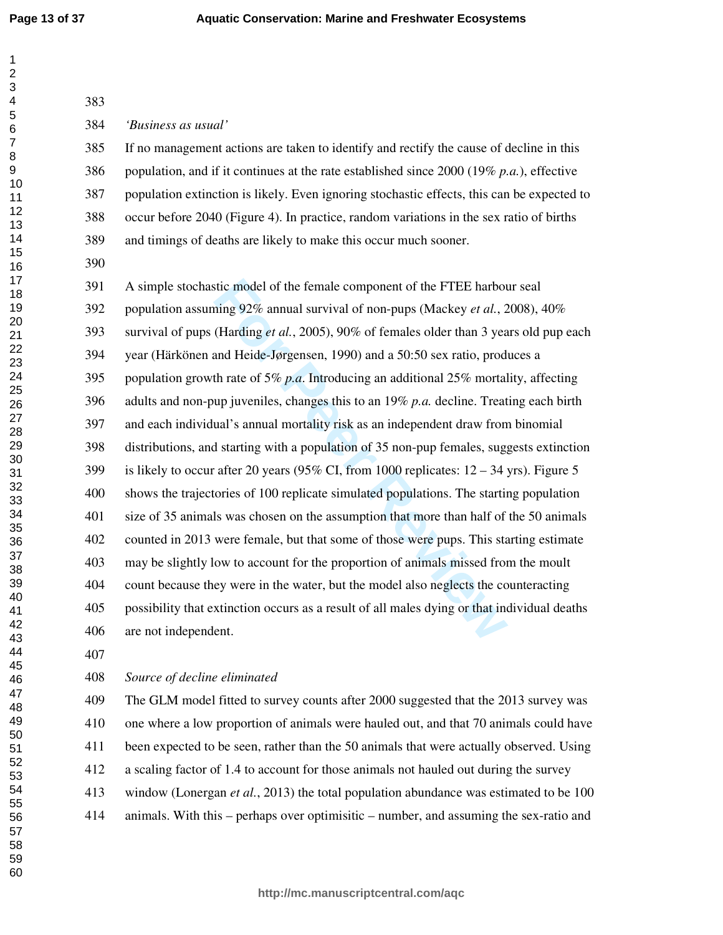$\mathbf{1}$  $\overline{2}$ 

| 383 |                                                                                                 |
|-----|-------------------------------------------------------------------------------------------------|
| 384 | 'Business as usual'                                                                             |
| 385 | If no management actions are taken to identify and rectify the cause of decline in this         |
| 386 | population, and if it continues at the rate established since 2000 (19% p.a.), effective        |
| 387 | population extinction is likely. Even ignoring stochastic effects, this can be expected to      |
| 388 | occur before 2040 (Figure 4). In practice, random variations in the sex ratio of births         |
| 389 | and timings of deaths are likely to make this occur much sooner.                                |
| 390 |                                                                                                 |
| 391 | A simple stochastic model of the female component of the FTEE harbour seal                      |
| 392 | population assuming 92% annual survival of non-pups (Mackey et al., 2008), 40%                  |
| 393 | survival of pups (Harding <i>et al.</i> , 2005), 90% of females older than 3 years old pup each |
| 394 | year (Härkönen and Heide-Jørgensen, 1990) and a 50:50 sex ratio, produces a                     |
| 395 | population growth rate of 5% p.a. Introducing an additional 25% mortality, affecting            |
| 396 | adults and non-pup juveniles, changes this to an $19\%$ p.a. decline. Treating each birth       |
| 397 | and each individual's annual mortality risk as an independent draw from binomial                |
| 398 | distributions, and starting with a population of 35 non-pup females, suggests extinction        |
| 399 | is likely to occur after 20 years (95% CI, from 1000 replicates: $12 - 34$ yrs). Figure 5       |
| 400 | shows the trajectories of 100 replicate simulated populations. The starting population          |
| 401 | size of 35 animals was chosen on the assumption that more than half of the 50 animals           |
| 402 | counted in 2013 were female, but that some of those were pups. This starting estimate           |
| 403 | may be slightly low to account for the proportion of animals missed from the moult              |
| 404 | count because they were in the water, but the model also neglects the counteracting             |
| 405 | possibility that extinction occurs as a result of all males dying or that individual deaths     |
| 406 | are not independent.                                                                            |
| 407 |                                                                                                 |
| 408 | Source of decline eliminated                                                                    |
| 409 | The GLM model fitted to survey counts after 2000 suggested that the 2013 survey was             |

410 one where a low proportion of animals were hauled out, and that 70 animals could have 411 been expected to be seen, rather than the 50 animals that were actually observed. Using 412 a scaling factor of 1.4 to account for those animals not hauled out during the survey 413 window (Lonergan *et al.*, 2013) the total population abundance was estimated to be 100 414 animals. With this – perhaps over optimisitic – number, and assuming the sex-ratio and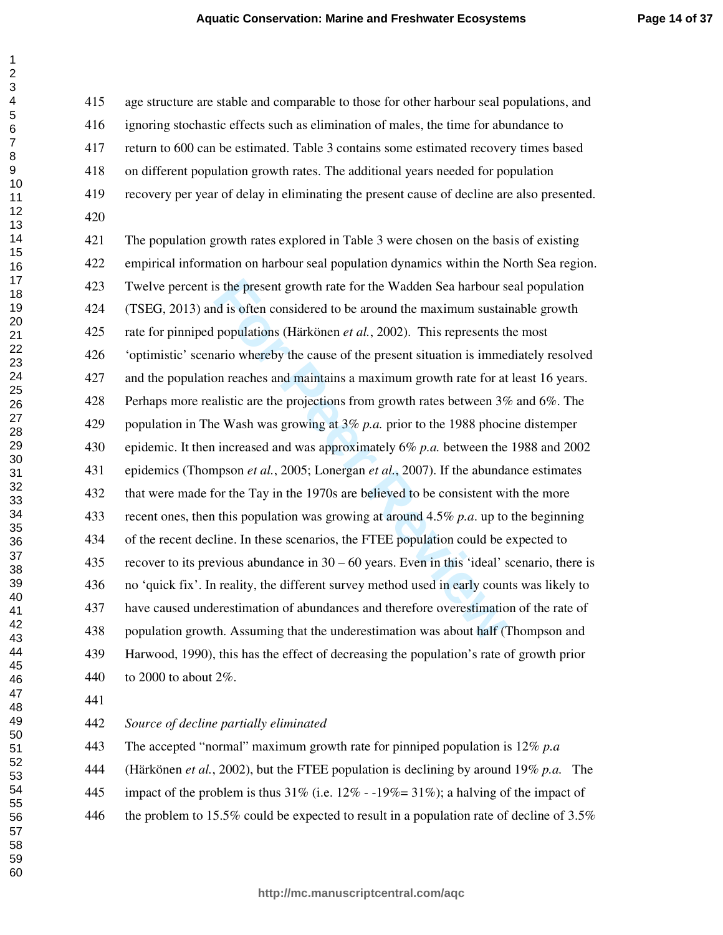415 age structure are stable and comparable to those for other harbour seal populations, and 416 ignoring stochastic effects such as elimination of males, the time for abundance to 417 return to 600 can be estimated. Table 3 contains some estimated recovery times based 418 on different population growth rates. The additional years needed for population 419 recovery per year of delay in eliminating the present cause of decline are also presented. 

is the present growth rate for the Wadden Sea harbour s<br>
and is often considered to be around the maximum sustai<br>
populations (Härkönen *et al.*, 2002). This represents th<br>
ario whereby the cause of the present situation 421 The population growth rates explored in Table 3 were chosen on the basis of existing 422 empirical information on harbour seal population dynamics within the North Sea region. 423 Twelve percent is the present growth rate for the Wadden Sea harbour seal population 424 (TSEG, 2013) and is often considered to be around the maximum sustainable growth 425 rate for pinniped populations (Härkönen *et al.*, 2002). This represents the most 426 'optimistic' scenario whereby the cause of the present situation is immediately resolved 427 and the population reaches and maintains a maximum growth rate for at least 16 years. 428 Perhaps more realistic are the projections from growth rates between 3% and 6%. The 429 population in The Wash was growing at 3% *p.a.* prior to the 1988 phocine distemper 430 epidemic. It then increased and was approximately 6% *p.a.* between the 1988 and 2002 431 epidemics (Thompson *et al.*, 2005; Lonergan *et al.*, 2007). If the abundance estimates 432 that were made for the Tay in the 1970s are believed to be consistent with the more 433 recent ones, then this population was growing at around 4.5% *p.a*. up to the beginning 434 of the recent decline. In these scenarios, the FTEE population could be expected to 435 recover to its previous abundance in  $30 - 60$  years. Even in this 'ideal' scenario, there is 436 no 'quick fix'. In reality, the different survey method used in early counts was likely to 437 have caused underestimation of abundances and therefore overestimation of the rate of 438 population growth. Assuming that the underestimation was about half (Thompson and 439 Harwood, 1990), this has the effect of decreasing the population's rate of growth prior 440 to 2000 to about 2%.

### *Source of decline partially eliminated*

443 The accepted "normal" maximum growth rate for pinniped population is 12% *p.a* 444 (Härkönen *et al.*, 2002), but the FTEE population is declining by around 19% *p.a.* The 445 impact of the problem is thus  $31\%$  (i.e.  $12\%$  -  $-19\% = 31\%$ ); a halving of the impact of

446 the problem to 15.5% could be expected to result in a population rate of decline of 3.5%

 $\mathbf{1}$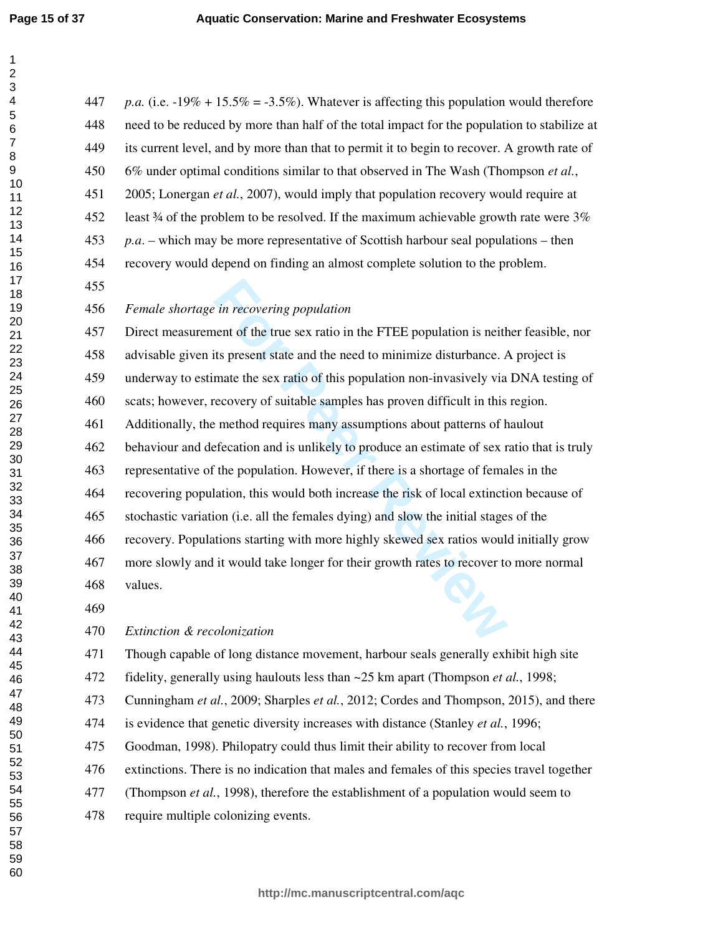$\mathbf{1}$  $\overline{2}$  $\overline{\mathbf{4}}$  $\overline{7}$ 

| 447 | p.a. (i.e. $-19\% + 15.5\% = -3.5\%$ ). Whatever is affecting this population would therefore |
|-----|-----------------------------------------------------------------------------------------------|
| 448 | need to be reduced by more than half of the total impact for the population to stabilize at   |
| 449 | its current level, and by more than that to permit it to begin to recover. A growth rate of   |
| 450 | 6% under optimal conditions similar to that observed in The Wash (Thompson et al.,            |
| 451 | 2005; Lonergan et al., 2007), would imply that population recovery would require at           |
| 452 | least 34 of the problem to be resolved. If the maximum achievable growth rate were 3%         |
| 453 | $p.a.$ – which may be more representative of Scottish harbour seal populations – then         |
| 454 | recovery would depend on finding an almost complete solution to the problem.                  |
| 455 |                                                                                               |
| 456 | Female shortage in recovering population                                                      |
| 457 | Direct measurement of the true sex ratio in the FTEE population is neither feasible, nor      |
| 458 | advisable given its present state and the need to minimize disturbance. A project is          |
| 459 | underway to estimate the sex ratio of this population non-invasively via DNA testing of       |
| 460 | scats; however, recovery of suitable samples has proven difficult in this region.             |
| 461 | Additionally, the method requires many assumptions about patterns of haulout                  |
| 462 | behaviour and defecation and is unlikely to produce an estimate of sex ratio that is truly    |
| 463 | representative of the population. However, if there is a shortage of females in the           |
| 464 | recovering population, this would both increase the risk of local extinction because of       |
| 465 | stochastic variation (i.e. all the females dying) and slow the initial stages of the          |
| 466 | recovery. Populations starting with more highly skewed sex ratios would initially grow        |
| 467 | more slowly and it would take longer for their growth rates to recover to more normal         |
| 468 | values.                                                                                       |
| 469 |                                                                                               |
| 470 | Extinction & recolonization                                                                   |
| 471 | Though capable of long distance movement, harbour seals generally exhibit high site           |
| 472 | fidelity, generally using haulouts less than ~25 km apart (Thompson et al., 1998;             |
| 473 | Cunningham et al., 2009; Sharples et al., 2012; Cordes and Thompson, 2015), and there         |
| 474 | is evidence that genetic diversity increases with distance (Stanley et al., 1996;             |
| 475 | Goodman, 1998). Philopatry could thus limit their ability to recover from local               |
| 476 | extinctions. There is no indication that males and females of this species travel together    |
| 477 | (Thompson et al., 1998), therefore the establishment of a population would seem to            |
| 478 | require multiple colonizing events.                                                           |
|     |                                                                                               |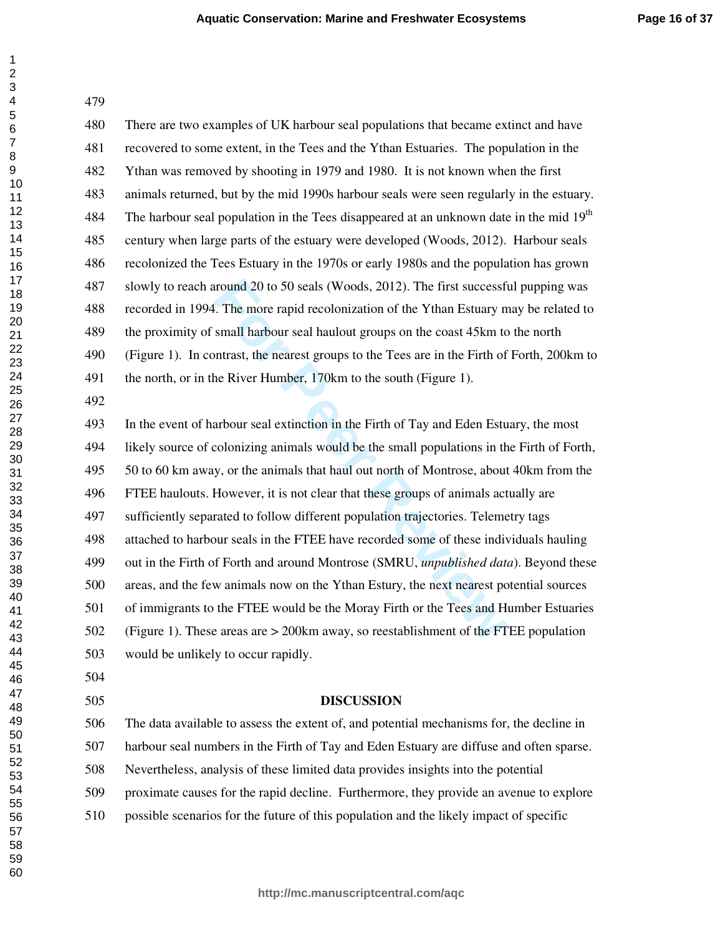| 479 |                                                                                              |
|-----|----------------------------------------------------------------------------------------------|
| 480 | There are two examples of UK harbour seal populations that became extinct and have           |
| 481 | recovered to some extent, in the Tees and the Ythan Estuaries. The population in the         |
| 482 | Ythan was removed by shooting in 1979 and 1980. It is not known when the first               |
| 483 | animals returned, but by the mid 1990s harbour seals were seen regularly in the estuary.     |
| 484 | The harbour seal population in the Tees disappeared at an unknown date in the mid $19th$     |
| 485 | century when large parts of the estuary were developed (Woods, 2012). Harbour seals          |
| 486 | recolonized the Tees Estuary in the 1970s or early 1980s and the population has grown        |
| 487 | slowly to reach around 20 to 50 seals (Woods, 2012). The first successful pupping was        |
| 488 | recorded in 1994. The more rapid recolonization of the Ythan Estuary may be related to       |
| 489 | the proximity of small harbour seal haulout groups on the coast 45km to the north            |
| 490 | (Figure 1). In contrast, the nearest groups to the Tees are in the Firth of Forth, 200km to  |
| 491 | the north, or in the River Humber, 170km to the south (Figure 1).                            |
| 492 |                                                                                              |
| 493 | In the event of harbour seal extinction in the Firth of Tay and Eden Estuary, the most       |
| 494 | likely source of colonizing animals would be the small populations in the Firth of Forth,    |
| 495 | 50 to 60 km away, or the animals that haul out north of Montrose, about 40 km from the       |
| 496 | FTEE haulouts. However, it is not clear that these groups of animals actually are            |
| 497 | sufficiently separated to follow different population trajectories. Telemetry tags           |
| 498 | attached to harbour seals in the FTEE have recorded some of these individuals hauling        |
| 499 | out in the Firth of Forth and around Montrose (SMRU, <i>unpublished data</i> ). Beyond these |
| 500 | areas, and the few animals now on the Ythan Estury, the next nearest potential sources       |
| 501 | of immigrants to the FTEE would be the Moray Firth or the Tees and Humber Estuaries          |
| 502 | (Figure 1). These areas are $> 200$ km away, so reestablishment of the FTEE population       |
| 503 | would be unlikely to occur rapidly.                                                          |
| 504 |                                                                                              |
| 505 | <b>DISCUSSION</b>                                                                            |
| 506 | The data available to assess the extent of, and potential mechanisms for, the decline in     |
| 507 | harbour seal numbers in the Firth of Tay and Eden Estuary are diffuse and often sparse.      |
| 508 | Nevertheless, analysis of these limited data provides insights into the potential            |
| 509 | proximate causes for the rapid decline. Furthermore, they provide an avenue to explore       |
| 510 | possible scenarios for the future of this population and the likely impact of specific       |
|     |                                                                                              |
|     |                                                                                              |

 $\mathbf{1}$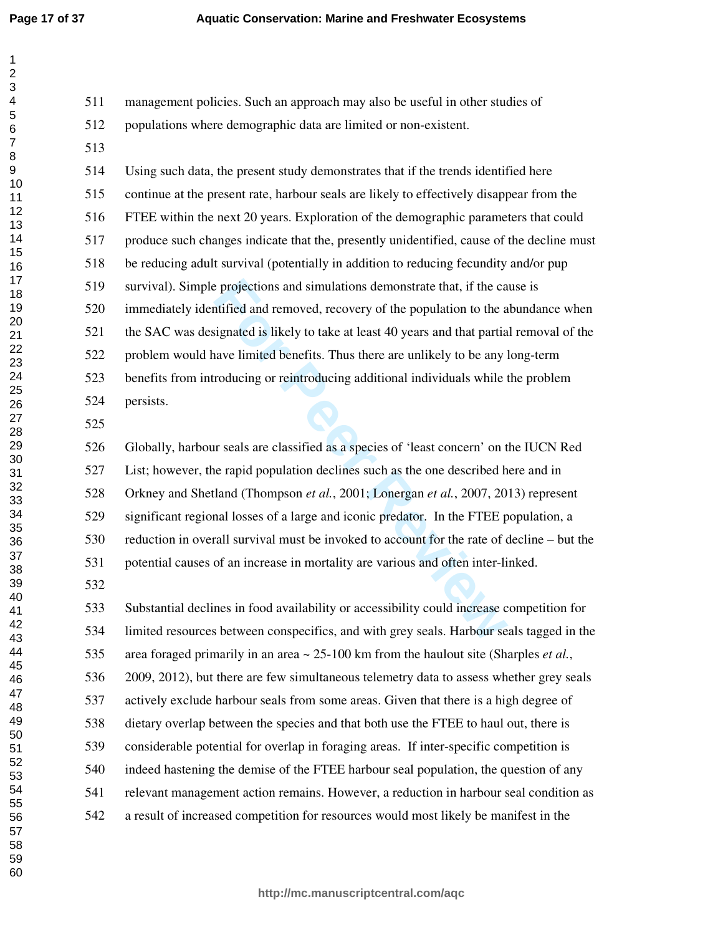511 management policies. Such an approach may also be useful in other studies of 512 populations where demographic data are limited or non-existent.

514 Using such data, the present study demonstrates that if the trends identified here 515 continue at the present rate, harbour seals are likely to effectively disappear from the 516 FTEE within the next 20 years. Exploration of the demographic parameters that could 517 produce such changes indicate that the, presently unidentified, cause of the decline must 518 be reducing adult survival (potentially in addition to reducing fecundity and/or pup 519 survival). Simple projections and simulations demonstrate that, if the cause is 520 immediately identified and removed, recovery of the population to the abundance when 521 the SAC was designated is likely to take at least 40 years and that partial removal of the 522 problem would have limited benefits. Thus there are unlikely to be any long-term 523 benefits from introducing or reintroducing additional individuals while the problem 524 persists.

Experiention and simulations demonstrate that, if the cand infied and removed, recovery of the population to the a signated is likely to take at least 40 years and that partia ave limited benefits. Thus there are unlikely 526 Globally, harbour seals are classified as a species of 'least concern' on the IUCN Red 527 List; however, the rapid population declines such as the one described here and in 528 Orkney and Shetland (Thompson *et al.*, 2001; Lonergan *et al.*, 2007, 2013) represent 529 significant regional losses of a large and iconic predator. In the FTEE population, a 530 reduction in overall survival must be invoked to account for the rate of decline – but the 531 potential causes of an increase in mortality are various and often inter-linked.

533 Substantial declines in food availability or accessibility could increase competition for 534 limited resources between conspecifics, and with grey seals. Harbour seals tagged in the 535 area foraged primarily in an area ~ 25-100 km from the haulout site (Sharples *et al.*, 536 2009, 2012), but there are few simultaneous telemetry data to assess whether grey seals 537 actively exclude harbour seals from some areas. Given that there is a high degree of 538 dietary overlap between the species and that both use the FTEE to haul out, there is 539 considerable potential for overlap in foraging areas. If inter-specific competition is 540 indeed hastening the demise of the FTEE harbour seal population, the question of any 541 relevant management action remains. However, a reduction in harbour seal condition as 542 a result of increased competition for resources would most likely be manifest in the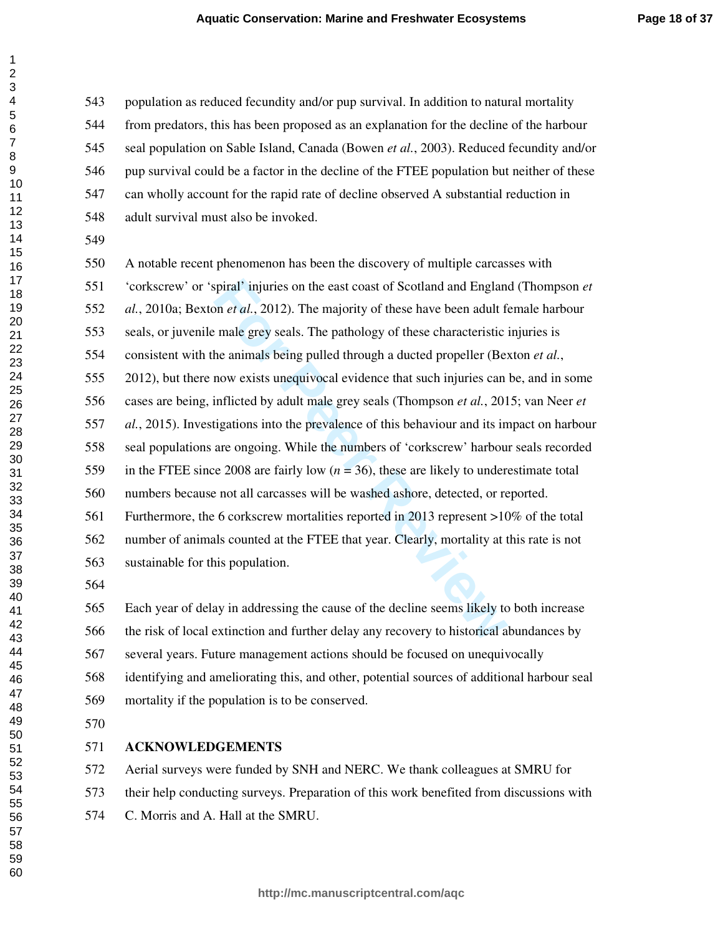543 population as reduced fecundity and/or pup survival. In addition to natural mortality 544 from predators, this has been proposed as an explanation for the decline of the harbour 545 seal population on Sable Island, Canada (Bowen *et al.*, 2003). Reduced fecundity and/or 546 pup survival could be a factor in the decline of the FTEE population but neither of these 547 can wholly account for the rapid rate of decline observed A substantial reduction in 548 adult survival must also be invoked.

Figural' injuries on the east coast of Scotland and England<br>
Form *et al.*, 2012). The majority of these have been adult formale grey seals. The pathology of these characteristic<br>
fremale grey seals. The pathology of thes 550 A notable recent phenomenon has been the discovery of multiple carcasses with 551 'corkscrew' or 'spiral' injuries on the east coast of Scotland and England (Thompson *et al.*, 2010a; Bexton *et al.*, 2012). The majority of these have been adult female harbour 553 seals, or juvenile male grey seals. The pathology of these characteristic injuries is 554 consistent with the animals being pulled through a ducted propeller (Bexton *et al.*, 555 2012), but there now exists unequivocal evidence that such injuries can be, and in some 556 cases are being, inflicted by adult male grey seals (Thompson *et al.*, 2015; van Neer *et al.*, 2015). Investigations into the prevalence of this behaviour and its impact on harbour 558 seal populations are ongoing. While the numbers of 'corkscrew' harbour seals recorded 559 in the FTEE since 2008 are fairly low  $(n = 36)$ , these are likely to underestimate total 560 numbers because not all carcasses will be washed ashore, detected, or reported. 561 Furthermore, the 6 corkscrew mortalities reported in 2013 represent >10% of the total 562 number of animals counted at the FTEE that year. Clearly, mortality at this rate is not 563 sustainable for this population.

565 Each year of delay in addressing the cause of the decline seems likely to both increase 566 the risk of local extinction and further delay any recovery to historical abundances by 567 several years. Future management actions should be focused on unequivocally 568 identifying and ameliorating this, and other, potential sources of additional harbour seal 569 mortality if the population is to be conserved.

## **ACKNOWLEDGEMENTS**

572 Aerial surveys were funded by SNH and NERC. We thank colleagues at SMRU for 573 their help conducting surveys. Preparation of this work benefited from discussions with 574 C. Morris and A. Hall at the SMRU.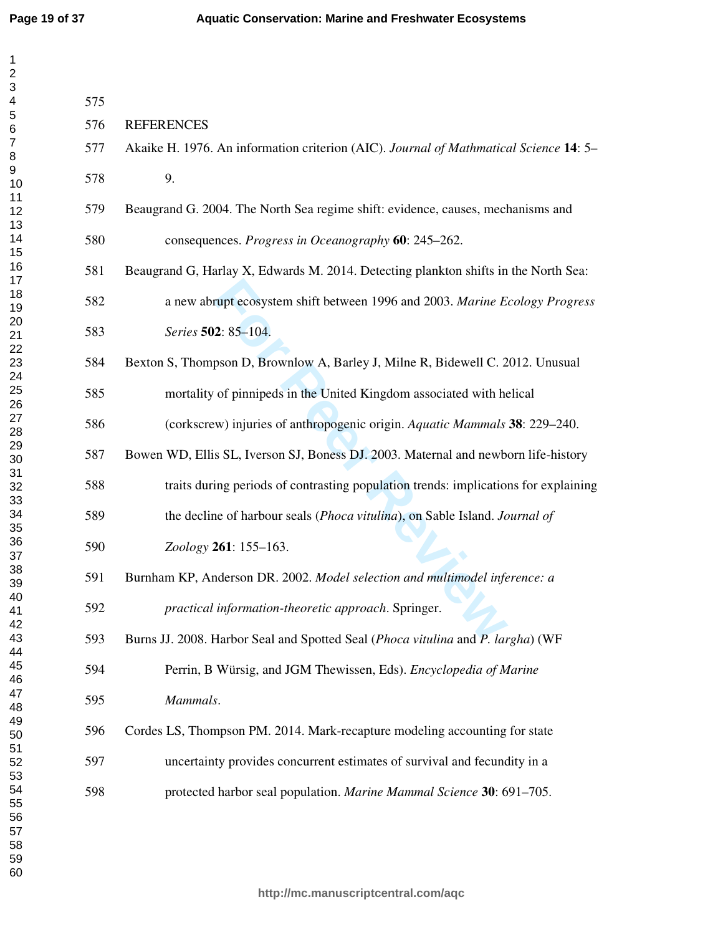$\mathbf{1}$  $\overline{2}$  $\overline{\mathbf{4}}$  $\overline{7}$ 

| 575 |                                                                                       |
|-----|---------------------------------------------------------------------------------------|
| 576 | <b>REFERENCES</b>                                                                     |
| 577 | Akaike H. 1976. An information criterion (AIC). Journal of Mathmatical Science 14: 5- |
| 578 | 9.                                                                                    |
| 579 | Beaugrand G. 2004. The North Sea regime shift: evidence, causes, mechanisms and       |
| 580 | consequences. Progress in Oceanography 60: 245–262.                                   |
| 581 | Beaugrand G, Harlay X, Edwards M. 2014. Detecting plankton shifts in the North Sea:   |
| 582 | a new abrupt ecosystem shift between 1996 and 2003. Marine Ecology Progress           |
| 583 | Series 502: 85-104.                                                                   |
| 584 | Bexton S, Thompson D, Brownlow A, Barley J, Milne R, Bidewell C. 2012. Unusual        |
| 585 | mortality of pinnipeds in the United Kingdom associated with helical                  |
| 586 | (corkscrew) injuries of anthropogenic origin. Aquatic Mammals 38: 229–240.            |
| 587 | Bowen WD, Ellis SL, Iverson SJ, Boness DJ. 2003. Maternal and newborn life-history    |
| 588 | traits during periods of contrasting population trends: implications for explaining   |
| 589 | the decline of harbour seals (Phoca vitulina), on Sable Island. Journal of            |
| 590 | Zoology 261: 155-163.                                                                 |
| 591 | Burnham KP, Anderson DR. 2002. Model selection and multimodel inference: a            |
| 592 | practical information-theoretic approach. Springer.                                   |
| 593 | Burns JJ. 2008. Harbor Seal and Spotted Seal (Phoca vitulina and P. largha) (WF       |
| 594 | Perrin, B Würsig, and JGM Thewissen, Eds). Encyclopedia of Marine                     |
| 595 | Mammals.                                                                              |
| 596 | Cordes LS, Thompson PM. 2014. Mark-recapture modeling accounting for state            |
| 597 | uncertainty provides concurrent estimates of survival and fecundity in a              |
| 598 | protected harbor seal population. Marine Mammal Science 30: 691-705.                  |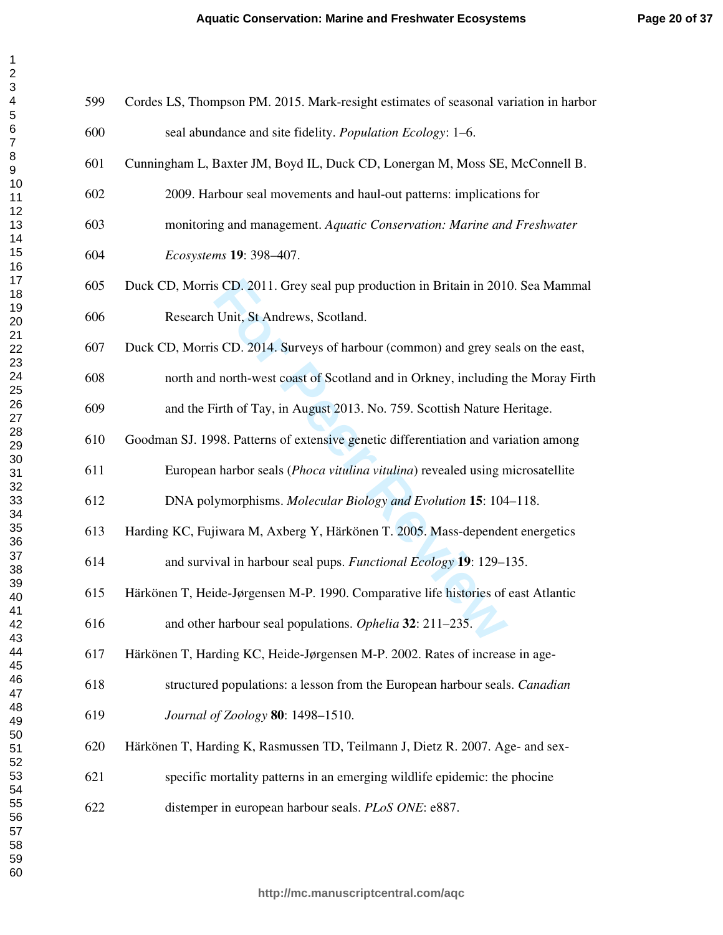| 599 | Cordes LS, Thompson PM. 2015. Mark-resight estimates of seasonal variation in harbor |
|-----|--------------------------------------------------------------------------------------|
| 600 | seal abundance and site fidelity. Population Ecology: 1-6.                           |
| 601 | Cunningham L, Baxter JM, Boyd IL, Duck CD, Lonergan M, Moss SE, McConnell B.         |
| 602 | 2009. Harbour seal movements and haul-out patterns: implications for                 |
| 603 | monitoring and management. Aquatic Conservation: Marine and Freshwater               |
| 604 | Ecosystems 19: 398-407.                                                              |
| 605 | Duck CD, Morris CD. 2011. Grey seal pup production in Britain in 2010. Sea Mammal    |
| 606 | Research Unit, St Andrews, Scotland.                                                 |
| 607 | Duck CD, Morris CD. 2014. Surveys of harbour (common) and grey seals on the east,    |
| 608 | north and north-west coast of Scotland and in Orkney, including the Moray Firth      |
| 609 | and the Firth of Tay, in August 2013. No. 759. Scottish Nature Heritage.             |
| 610 | Goodman SJ. 1998. Patterns of extensive genetic differentiation and variation among  |
| 611 | European harbor seals (Phoca vitulina vitulina) revealed using microsatellite        |
| 612 | DNA polymorphisms. Molecular Biology and Evolution 15: 104-118.                      |
| 613 | Harding KC, Fujiwara M, Axberg Y, Härkönen T. 2005. Mass-dependent energetics        |
| 614 | and survival in harbour seal pups. Functional Ecology 19: 129–135.                   |
| 615 | Härkönen T, Heide-Jørgensen M-P. 1990. Comparative life histories of east Atlantic   |
| 616 | and other harbour seal populations. Ophelia 32: 211-235.                             |
| 617 | Härkönen T, Harding KC, Heide-Jørgensen M-P. 2002. Rates of increase in age-         |
| 618 | structured populations: a lesson from the European harbour seals. Canadian           |
| 619 | Journal of Zoology 80: 1498-1510.                                                    |
| 620 | Härkönen T, Harding K, Rasmussen TD, Teilmann J, Dietz R. 2007. Age- and sex-        |
| 621 | specific mortality patterns in an emerging wildlife epidemic: the phocine            |
| 622 | distemper in european harbour seals. PLoS ONE: e887.                                 |
|     |                                                                                      |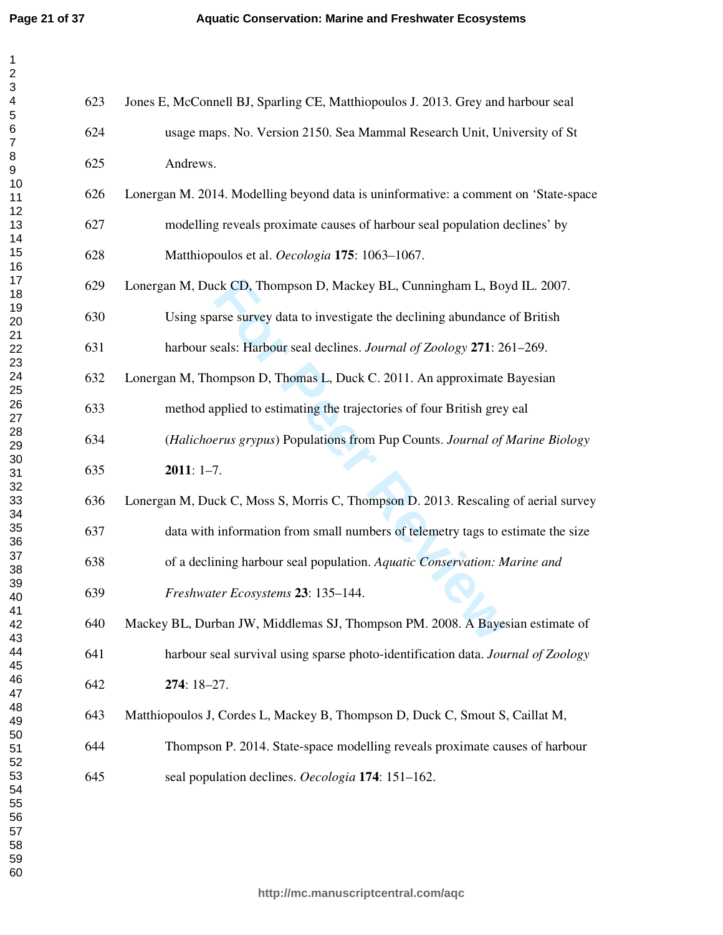$\mathbf 1$ 

| 1              |  |
|----------------|--|
| $\overline{c}$ |  |
|                |  |
|                |  |
|                |  |
|                |  |
|                |  |
|                |  |
|                |  |
|                |  |
|                |  |
|                |  |
|                |  |
|                |  |
|                |  |
|                |  |
|                |  |
|                |  |
|                |  |
|                |  |
|                |  |
|                |  |
|                |  |
|                |  |
|                |  |
|                |  |
|                |  |
|                |  |
|                |  |
|                |  |
|                |  |
|                |  |
|                |  |
|                |  |
|                |  |
|                |  |
|                |  |
|                |  |
|                |  |
| 38             |  |
| 39             |  |
| 40             |  |
| 41             |  |
| 42             |  |
| 43             |  |
| 44             |  |
| 45             |  |
| 46             |  |
| 47             |  |
| 48             |  |
| 49<br>50       |  |
|                |  |
| 51             |  |
| -<br>52        |  |
| 53             |  |
| 54             |  |
| 55             |  |
| 56<br>ć        |  |
| 57             |  |
| 58             |  |
|                |  |
| 59             |  |
| 60             |  |

| 623 | Jones E, McConnell BJ, Sparling CE, Matthiopoulos J. 2013. Grey and harbour seal    |
|-----|-------------------------------------------------------------------------------------|
| 624 | usage maps. No. Version 2150. Sea Mammal Research Unit, University of St            |
| 625 | Andrews.                                                                            |
| 626 | Lonergan M. 2014. Modelling beyond data is uninformative: a comment on 'State-space |
| 627 | modelling reveals proximate causes of harbour seal population declines' by          |
| 628 | Matthiopoulos et al. Oecologia 175: 1063-1067.                                      |
| 629 | Lonergan M, Duck CD, Thompson D, Mackey BL, Cunningham L, Boyd IL. 2007.            |
| 630 | Using sparse survey data to investigate the declining abundance of British          |
| 631 | harbour seals: Harbour seal declines. Journal of Zoology 271: 261-269.              |
| 632 | Lonergan M, Thompson D, Thomas L, Duck C. 2011. An approximate Bayesian             |
| 633 | method applied to estimating the trajectories of four British grey eal              |
| 634 | (Halichoerus grypus) Populations from Pup Counts. Journal of Marine Biology         |
| 635 | $2011: 1-7.$                                                                        |
| 636 | Lonergan M, Duck C, Moss S, Morris C, Thompson D. 2013. Rescaling of aerial survey  |
| 637 | data with information from small numbers of telemetry tags to estimate the size     |
| 638 | of a declining harbour seal population. Aquatic Conservation: Marine and            |
| 639 | Freshwater Ecosystems 23: 135-144.                                                  |
| 640 | Mackey BL, Durban JW, Middlemas SJ, Thompson PM. 2008. A Bayesian estimate of       |
| 641 | harbour seal survival using sparse photo-identification data. Journal of Zoology    |
| 642 | $274:18-27.$                                                                        |
| 643 | Matthiopoulos J, Cordes L, Mackey B, Thompson D, Duck C, Smout S, Caillat M,        |
| 644 | Thompson P. 2014. State-space modelling reveals proximate causes of harbour         |
| 645 | seal population declines. Oecologia 174: 151-162.                                   |
|     |                                                                                     |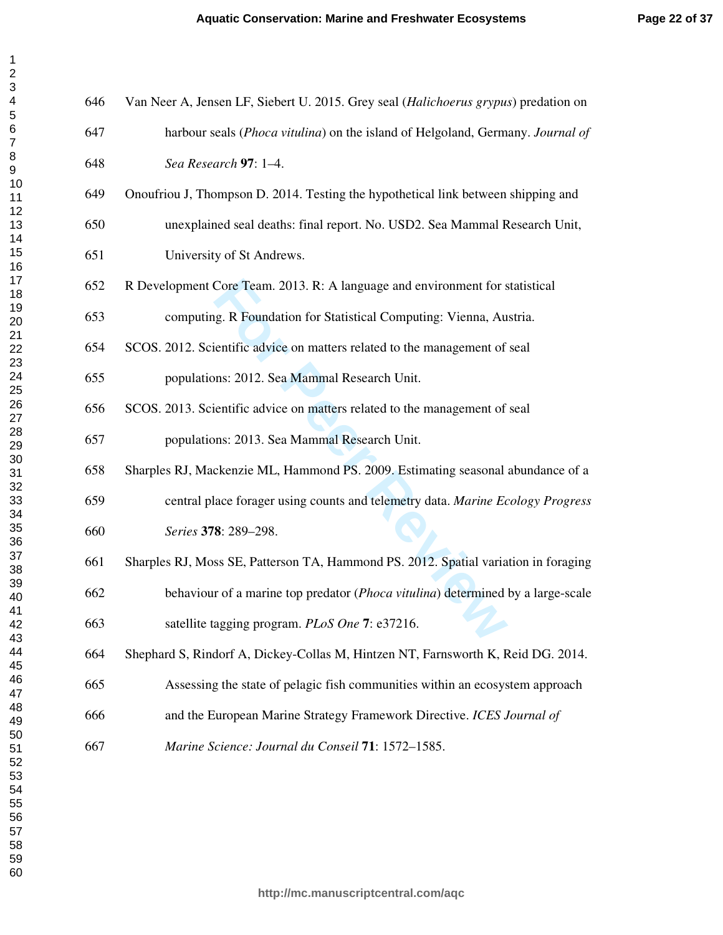| 646 | Van Neer A, Jensen LF, Siebert U. 2015. Grey seal (Halichoerus grypus) predation on |
|-----|-------------------------------------------------------------------------------------|
| 647 | harbour seals (Phoca vitulina) on the island of Helgoland, Germany. Journal of      |
| 648 | Sea Research 97: 1-4.                                                               |
| 649 | Onoufriou J, Thompson D. 2014. Testing the hypothetical link between shipping and   |
| 650 | unexplained seal deaths: final report. No. USD2. Sea Mammal Research Unit,          |
| 651 | University of St Andrews.                                                           |
| 652 | R Development Core Team. 2013. R: A language and environment for statistical        |
| 653 | computing. R Foundation for Statistical Computing: Vienna, Austria.                 |
| 654 | SCOS. 2012. Scientific advice on matters related to the management of seal          |
| 655 | populations: 2012. Sea Mammal Research Unit.                                        |
| 656 | SCOS. 2013. Scientific advice on matters related to the management of seal          |
| 657 | populations: 2013. Sea Mammal Research Unit.                                        |
| 658 | Sharples RJ, Mackenzie ML, Hammond PS. 2009. Estimating seasonal abundance of a     |
| 659 | central place forager using counts and telemetry data. Marine Ecology Progress      |
| 660 | Series 378: 289-298.                                                                |
| 661 | Sharples RJ, Moss SE, Patterson TA, Hammond PS. 2012. Spatial variation in foraging |
| 662 | behaviour of a marine top predator (Phoca vitulina) determined by a large-scale     |
| 663 | satellite tagging program. PLoS One 7: e37216.                                      |
| 664 | Shephard S, Rindorf A, Dickey-Collas M, Hintzen NT, Farnsworth K, Reid DG. 2014.    |
| 665 | Assessing the state of pelagic fish communities within an ecosystem approach        |
| 666 | and the European Marine Strategy Framework Directive. ICES Journal of               |
| 667 | Marine Science: Journal du Conseil 71: 1572-1585.                                   |
|     |                                                                                     |

 $\mathbf{1}$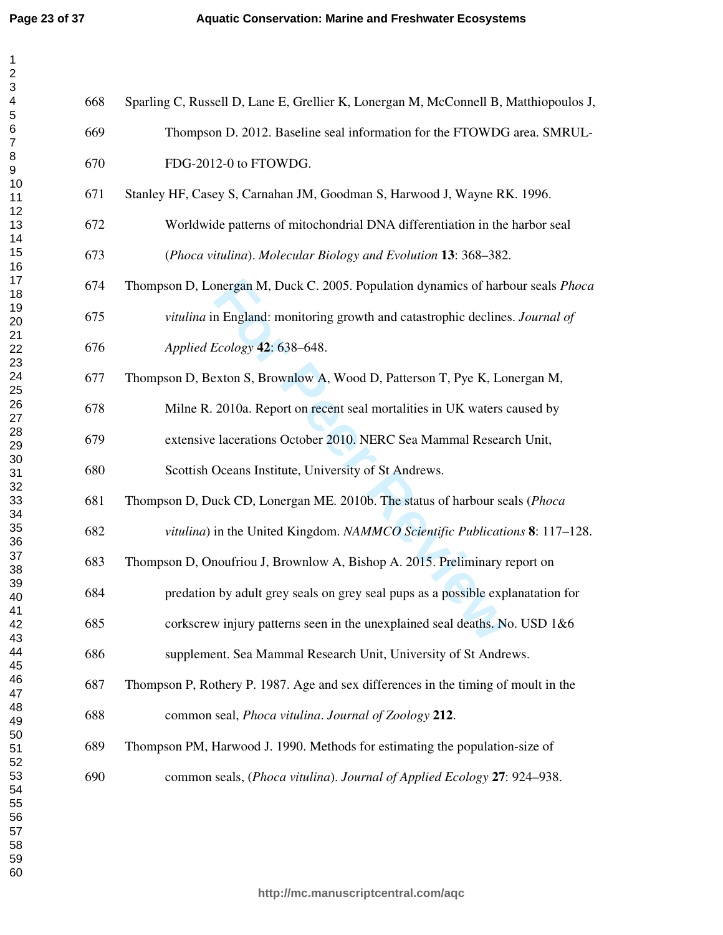$\mathbf{1}$ 

| 1                               |  |
|---------------------------------|--|
| $\overline{c}$                  |  |
| 3456                            |  |
|                                 |  |
|                                 |  |
|                                 |  |
| $\overline{7}$                  |  |
|                                 |  |
|                                 |  |
|                                 |  |
|                                 |  |
|                                 |  |
|                                 |  |
|                                 |  |
|                                 |  |
|                                 |  |
|                                 |  |
|                                 |  |
|                                 |  |
| . 89111111111122222222223333333 |  |
|                                 |  |
|                                 |  |
|                                 |  |
|                                 |  |
|                                 |  |
|                                 |  |
|                                 |  |
|                                 |  |
|                                 |  |
|                                 |  |
|                                 |  |
|                                 |  |
|                                 |  |
|                                 |  |
|                                 |  |
|                                 |  |
| --<br>36<br>37                  |  |
| 38                              |  |
| 39                              |  |
| 40                              |  |
| 41                              |  |
| 42                              |  |
| 43                              |  |
| 44                              |  |
| 45                              |  |
| 46                              |  |
| 47                              |  |
| 48                              |  |
| 49                              |  |
| 50                              |  |
| 51                              |  |
| 52                              |  |
| 53                              |  |
| 54                              |  |
| 55                              |  |
| 56<br>ć                         |  |
| 57                              |  |
| 58                              |  |
| 59                              |  |
| 60                              |  |

| 668 | Sparling C, Russell D, Lane E, Grellier K, Lonergan M, McConnell B, Matthiopoulos J, |
|-----|--------------------------------------------------------------------------------------|
| 669 | Thompson D. 2012. Baseline seal information for the FTOWDG area. SMRUL-              |
| 670 | FDG-2012-0 to FTOWDG.                                                                |
| 671 | Stanley HF, Casey S, Carnahan JM, Goodman S, Harwood J, Wayne RK. 1996.              |
| 672 | Worldwide patterns of mitochondrial DNA differentiation in the harbor seal           |
| 673 | (Phoca vitulina). Molecular Biology and Evolution 13: 368–382.                       |
| 674 | Thompson D, Lonergan M, Duck C. 2005. Population dynamics of harbour seals Phoca     |
| 675 | vitulina in England: monitoring growth and catastrophic declines. Journal of         |
| 676 | Applied Ecology 42: 638-648.                                                         |
| 677 | Thompson D, Bexton S, Brownlow A, Wood D, Patterson T, Pye K, Lonergan M,            |
| 678 | Milne R. 2010a. Report on recent seal mortalities in UK waters caused by             |
| 679 | extensive lacerations October 2010. NERC Sea Mammal Research Unit,                   |
| 680 | Scottish Oceans Institute, University of St Andrews.                                 |
| 681 | Thompson D, Duck CD, Lonergan ME. 2010b. The status of harbour seals (Phoca          |
| 682 | vitulina) in the United Kingdom. NAMMCO Scientific Publications 8: 117–128.          |
| 683 | Thompson D, Onoufriou J, Brownlow A, Bishop A. 2015. Preliminary report on           |
| 684 | predation by adult grey seals on grey seal pups as a possible explanatation for      |
| 685 | corkscrew injury patterns seen in the unexplained seal deaths. No. USD 1&6           |
| 686 | supplement. Sea Mammal Research Unit, University of St Andrews.                      |
| 687 | Thompson P, Rothery P. 1987. Age and sex differences in the timing of moult in the   |
| 688 | common seal, <i>Phoca vitulina. Journal of Zoology</i> 212.                          |
| 689 | Thompson PM, Harwood J. 1990. Methods for estimating the population-size of          |
| 690 | common seals, (Phoca vitulina). Journal of Applied Ecology 27: 924–938.              |
|     |                                                                                      |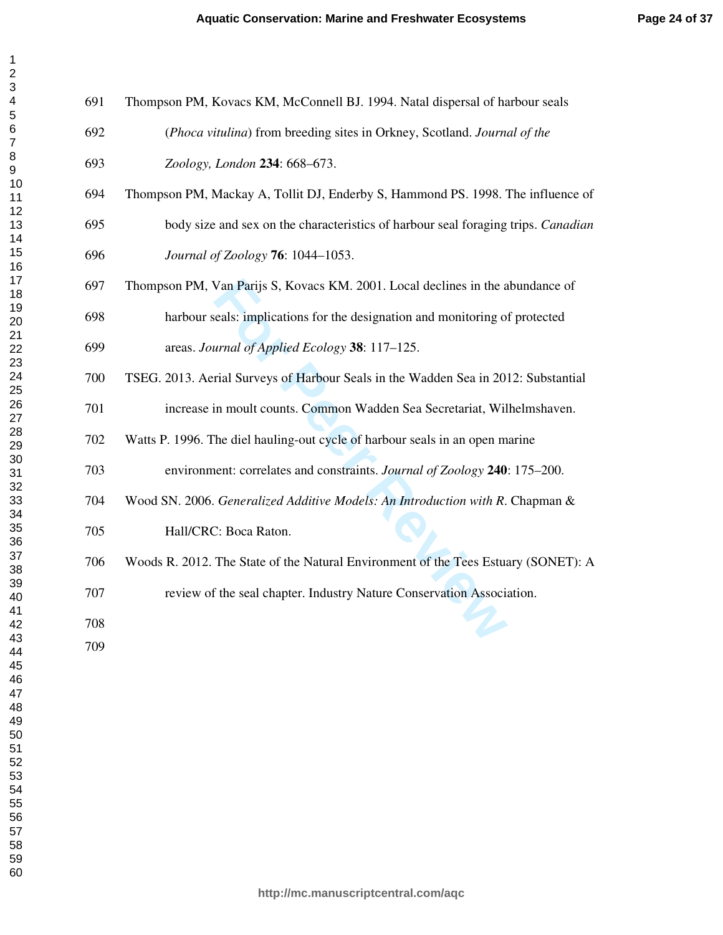| 691 | Thompson PM, Kovacs KM, McConnell BJ. 1994. Natal dispersal of harbour seals       |
|-----|------------------------------------------------------------------------------------|
| 692 | (Phoca vitulina) from breeding sites in Orkney, Scotland. Journal of the           |
| 693 | Zoology, London 234: 668-673.                                                      |
| 694 | Thompson PM, Mackay A, Tollit DJ, Enderby S, Hammond PS. 1998. The influence of    |
| 695 | body size and sex on the characteristics of harbour seal foraging trips. Canadian  |
| 696 | Journal of Zoology 76: 1044-1053.                                                  |
| 697 | Thompson PM, Van Parijs S, Kovacs KM. 2001. Local declines in the abundance of     |
| 698 | harbour seals: implications for the designation and monitoring of protected        |
| 699 | areas. Journal of Applied Ecology 38: 117–125.                                     |
| 700 | TSEG. 2013. Aerial Surveys of Harbour Seals in the Wadden Sea in 2012: Substantial |
| 701 | increase in moult counts. Common Wadden Sea Secretariat, Wilhelmshaven.            |
| 702 | Watts P. 1996. The diel hauling-out cycle of harbour seals in an open marine       |
| 703 | environment: correlates and constraints. Journal of Zoology 240: 175-200.          |
| 704 | Wood SN. 2006. Generalized Additive Models: An Introduction with R. Chapman &      |
| 705 | Hall/CRC: Boca Raton.                                                              |
| 706 | Woods R. 2012. The State of the Natural Environment of the Tees Estuary (SONET): A |
| 707 | review of the seal chapter. Industry Nature Conservation Association.              |
| 708 |                                                                                    |
| 709 |                                                                                    |
|     |                                                                                    |

 $\mathbf{1}$  $\overline{2}$  $\overline{\mathbf{4}}$  $\overline{7}$  $\,8\,$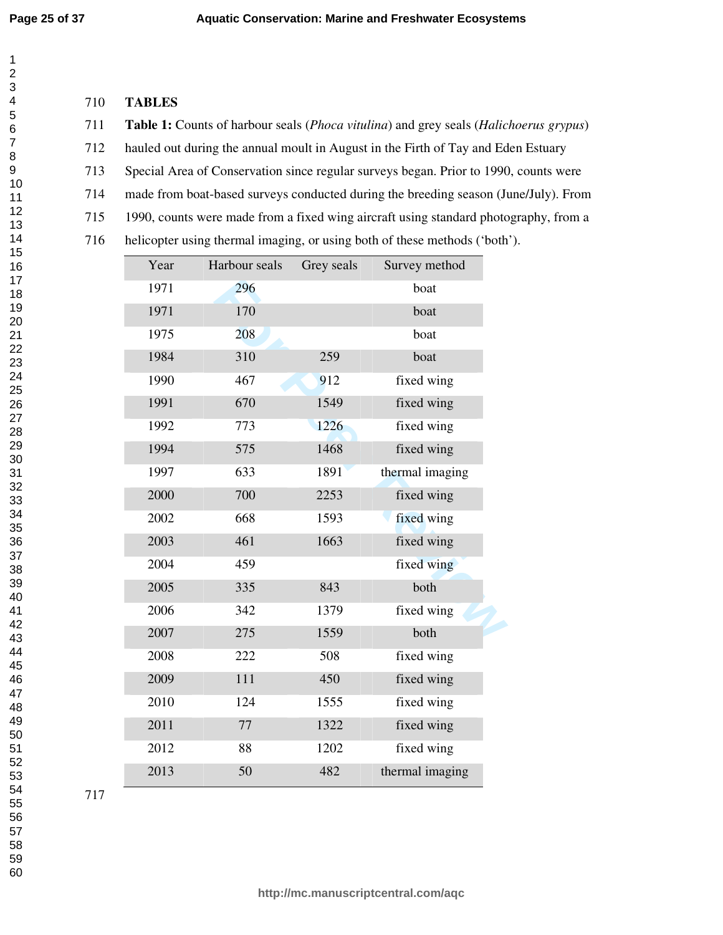# **TABLES**

**Table 1:** Counts of harbour seals (*Phoca vitulina*) and grey seals (*Halichoerus grypus* )

712 hauled out during the annual moult in August in the Firth of Tay and Eden Estuary

713 Special Area of Conservation since regular surveys began. Prior to 1990, counts were

714 made from boat-based surveys conducted during the breeding season (June/July). From

715 1990, counts were made from a fixed wing aircraft using standard photography, from a

716 helicopter using thermal imaging, or using both of these methods ('both').

| Year | Harbour seals | Grey seals | Survey method   |  |
|------|---------------|------------|-----------------|--|
| 1971 | 296           |            | boat            |  |
| 1971 | 170           |            | boat            |  |
| 1975 | 208           |            | boat            |  |
| 1984 | 310           | 259        | boat            |  |
| 1990 | 467           | 912        | fixed wing      |  |
| 1991 | 670           | 1549       | fixed wing      |  |
| 1992 | 773           | 1226       | fixed wing      |  |
| 1994 | 575           | 1468       | fixed wing      |  |
| 1997 | 633           | 1891       | thermal imaging |  |
| 2000 | 700           | 2253       | fixed wing      |  |
| 2002 | 668           | 1593       | fixed wing      |  |
| 2003 | 461           | 1663       | fixed wing      |  |
| 2004 | 459           |            | fixed wing      |  |
| 2005 | 335           | 843        | both            |  |
| 2006 | 342           | 1379       | fixed wing      |  |
| 2007 | 275           | 1559       | both            |  |
| 2008 | 222           | 508        | fixed wing      |  |
| 2009 | 111           | 450        | fixed wing      |  |
| 2010 | 124           | 1555       | fixed wing      |  |
| 2011 | 77            | 1322       | fixed wing      |  |
| 2012 | 88            | 1202       | fixed wing      |  |
| 2013 | 50            | 482        | thermal imaging |  |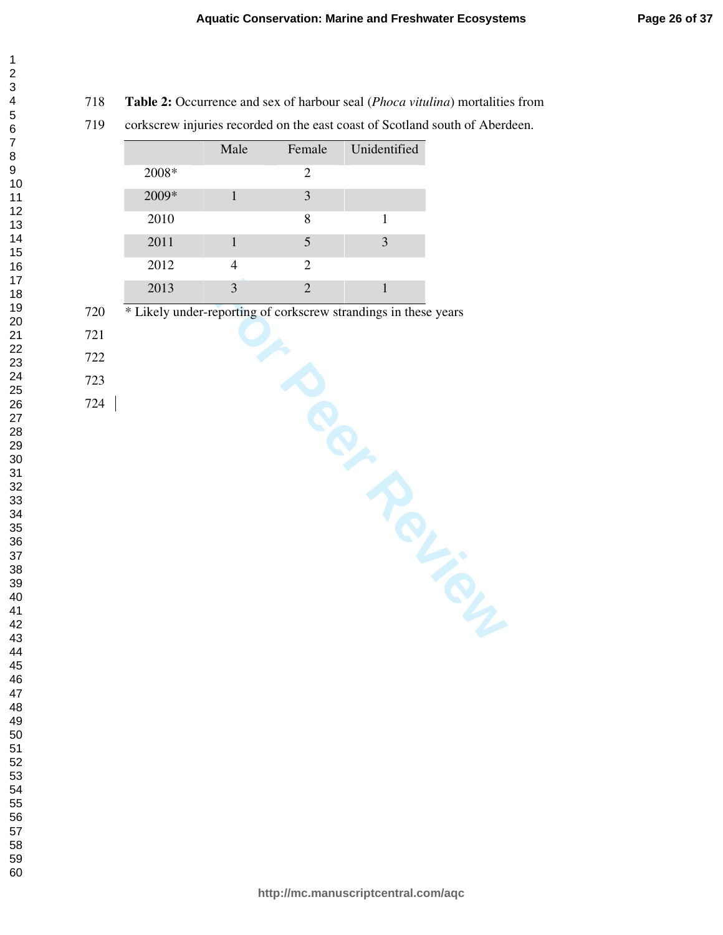- **Table 2:** Occurrence and sex of harbour seal (*Phoca vitulina*) mortalities from
- 719 corkscrew injuries recorded on the east coast of Scotland south of Aberdeen.

|       | Male        | Female        | Unidentified |
|-------|-------------|---------------|--------------|
| 2008* |             | 2             |              |
| 2009* |             | 3             |              |
| 2010  |             | 8             |              |
| 2011  |             | 5             | 3            |
| 2012  |             | 2             |              |
| 2013  | $\mathbf 3$ | $\mathcal{D}$ |              |

- Pering on Pering City 720 \* Likely under-reporting of corkscrew strandings in these years
- 
- 
-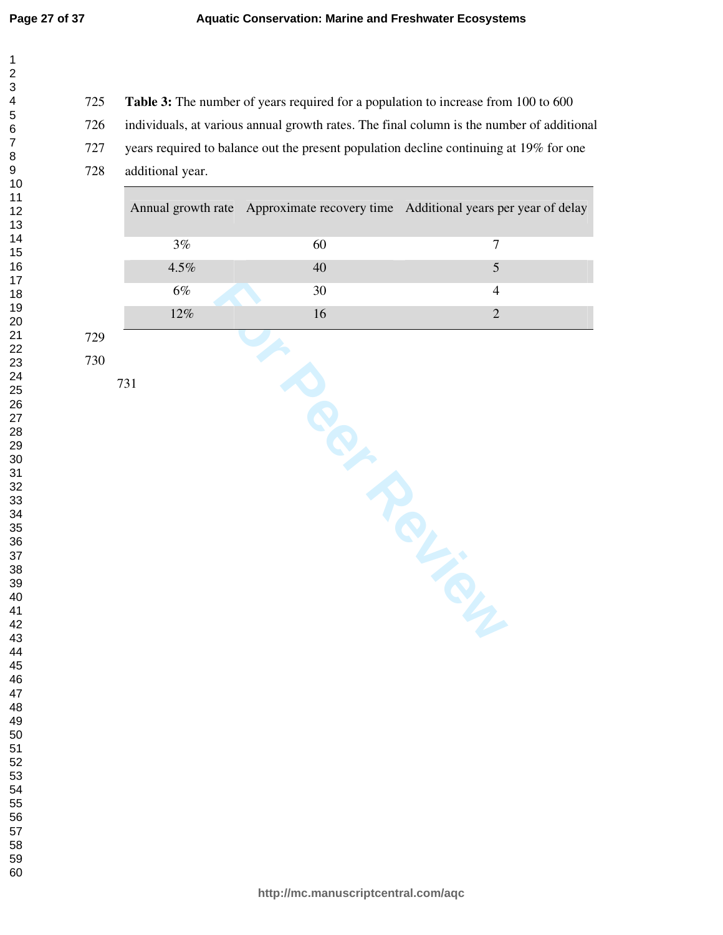**Table 3:** The number of years required for a population to increase from 100 to 600 726 individuals, at various annual growth rates. The final column is the number of additional 727 years required to balance out the present population decline continuing at 19% for one 728 additional year.

| $3\%$   | 60     | $\overline{7}$                                                                  |
|---------|--------|---------------------------------------------------------------------------------|
| $4.5\%$ | $40\,$ | $\sqrt{5}$                                                                      |
| $6\%$   | $30\,$ | $\overline{4}$                                                                  |
| $12\%$  | 16     | $\overline{2}$                                                                  |
| 731     |        |                                                                                 |
|         |        | Annual growth rate Approximate recovery time Additional years per year of delay |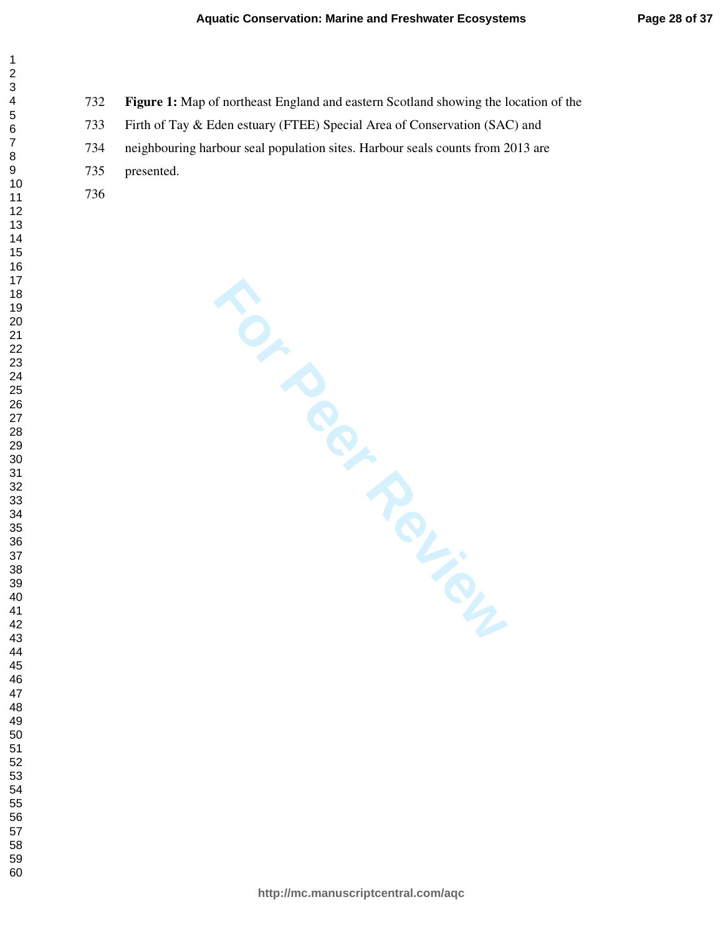- **Figure 1:** Map of northeast England and eastern Scotland showing the location of the
- 733 Firth of Tay & Eden estuary (FTEE) Special Area of Conservation (SAC) and
- 734 neighbouring harbour seal population sites. Harbour seals counts from 2013 are
- 735 presented.
- 

 $\mathbf{1}$  $\overline{2}$  $\overline{4}$  $\overline{7}$ 

**For Periew**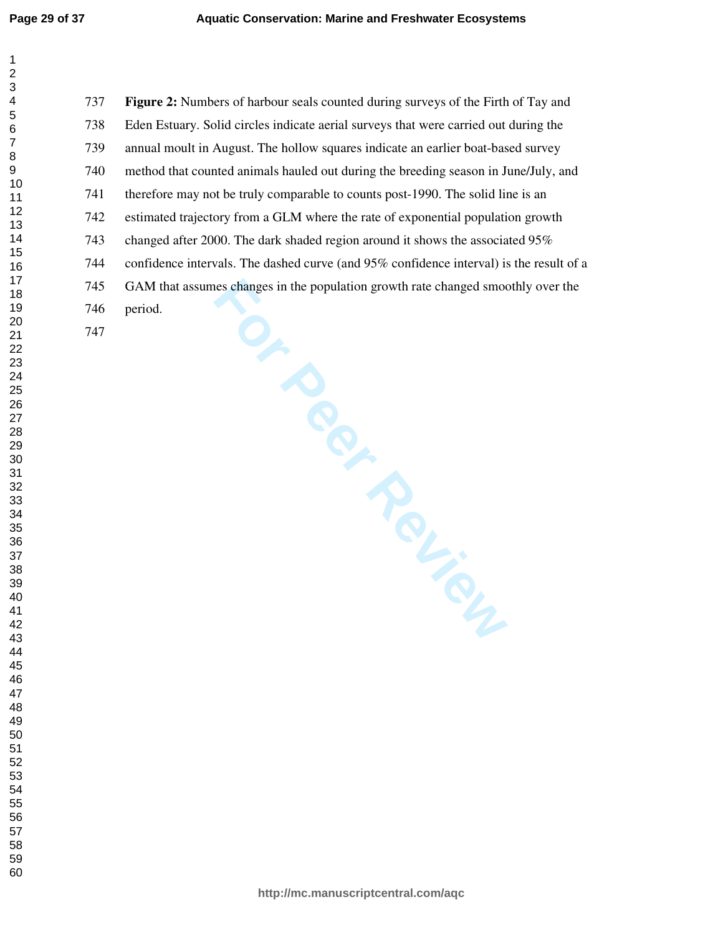**PRINCER Figure 2:** Numbers of harbour seals counted during surveys of the Firth of Tay and 738 Eden Estuary. Solid circles indicate aerial surveys that were carried out during the 739 annual moult in August. The hollow squares indicate an earlier boat-based survey 740 method that counted animals hauled out during the breeding season in June/July, and 741 therefore may not be truly comparable to counts post-1990. The solid line is an 742 estimated trajectory from a GLM where the rate of exponential population growth 743 changed after 2000. The dark shaded region around it shows the associated 95% 744 confidence intervals. The dashed curve (and 95% confidence interval) is the result of a 745 GAM that assumes changes in the population growth rate changed smoothly over the 746 period.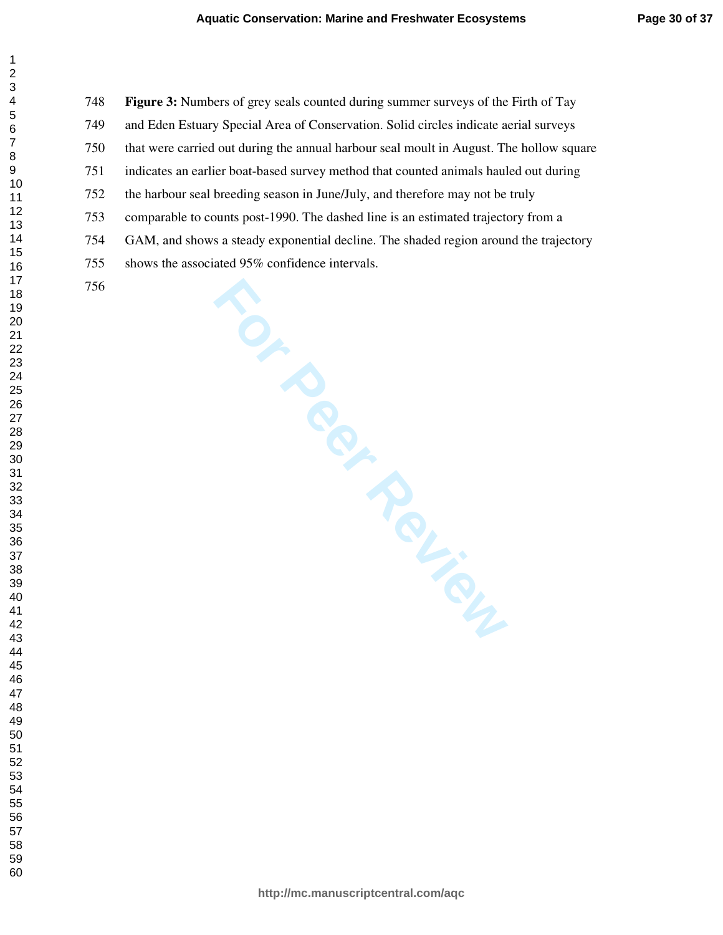**Figure 3:** Numbers of grey seals counted during summer surveys of the Firth of Tay 749 and Eden Estuary Special Area of Conservation. Solid circles indicate aerial surveys 750 that were carried out during the annual harbour seal moult in August. The hollow square 751 indicates an earlier boat-based survey method that counted animals hauled out during 752 the harbour seal breeding season in June/July, and therefore may not be truly 753 comparable to counts post-1990. The dashed line is an estimated trajectory from a 754 GAM, and shows a steady exponential decline. The shaded region around the trajectory 755 shows the associated 95% confidence intervals.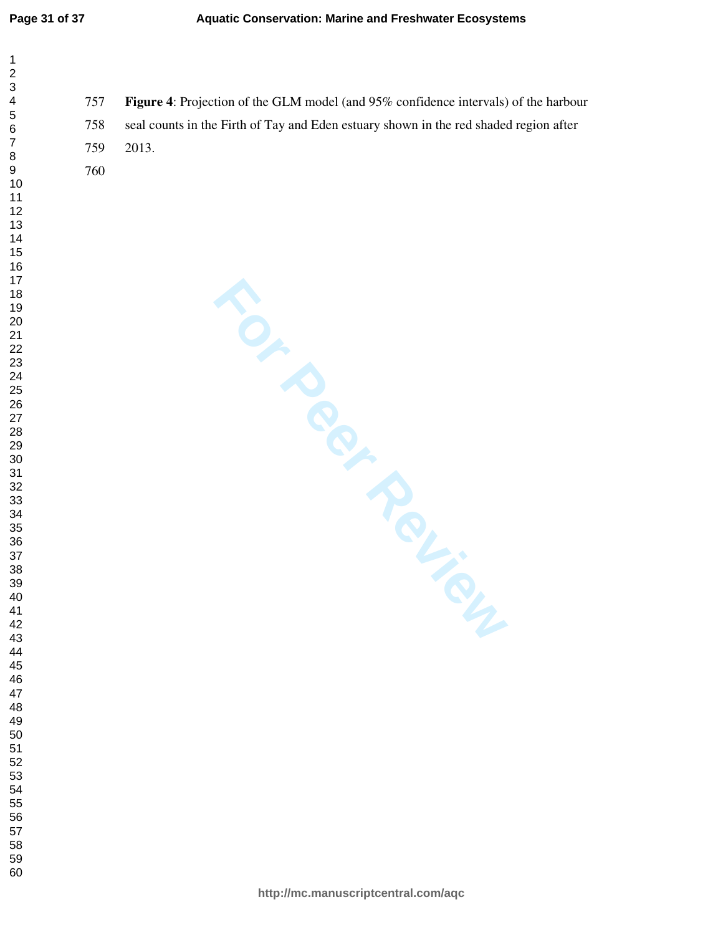| 1                                 |  |
|-----------------------------------|--|
|                                   |  |
|                                   |  |
| 3                                 |  |
| 4                                 |  |
| 5                                 |  |
| 6                                 |  |
| $\overline{7}$                    |  |
|                                   |  |
| 8<br>9                            |  |
| 10                                |  |
|                                   |  |
|                                   |  |
|                                   |  |
|                                   |  |
|                                   |  |
| 112<br>12<br>13<br>14<br>15<br>16 |  |
|                                   |  |
| 17                                |  |
| 18                                |  |
| 19                                |  |
|                                   |  |
| 20                                |  |
| 21                                |  |
|                                   |  |
| 23                                |  |
| 24                                |  |
| 25                                |  |
| ∠J<br>26                          |  |
| 27                                |  |
|                                   |  |
| 28<br>29                          |  |
|                                   |  |
| 30                                |  |
| 31                                |  |
| 32                                |  |
| 33                                |  |
| 34                                |  |
| 35                                |  |
| 36                                |  |
|                                   |  |
| 37                                |  |
| 38                                |  |
| 39                                |  |
| 40                                |  |
| 41                                |  |
| 42                                |  |
| 43                                |  |
| 44                                |  |
| 45                                |  |
| 46                                |  |
|                                   |  |
| 47                                |  |
| 48                                |  |
| 49                                |  |
| 50                                |  |
| 51                                |  |
| 52                                |  |
| 53                                |  |
| 54                                |  |
| 55                                |  |
|                                   |  |
| 56                                |  |
| 57                                |  |
| 58                                |  |
| 59                                |  |

**Figure 4**: Projection of the GLM model (and 95% confidence intervals) of the harbour 758 seal counts in the Firth of Tay and Eden estuary shown in the red shaded region after 759 2013.

**http://mc.manuscriptcentral.com/aqc**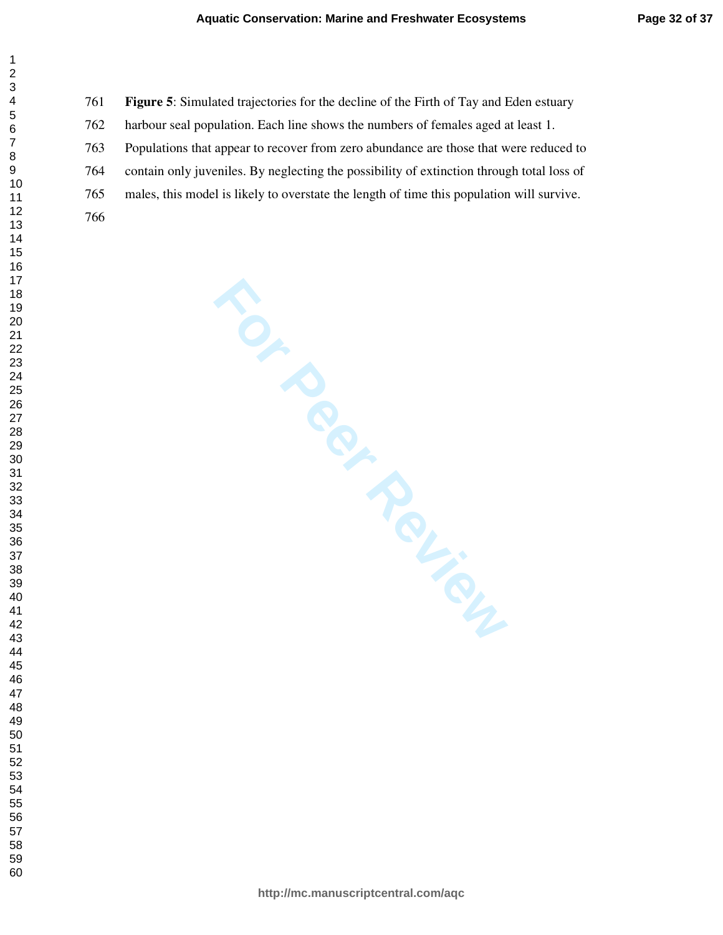**Figure 5**: Simulated trajectories for the decline of the Firth of Tay and Eden estuary

762 harbour seal population. Each line shows the numbers of females aged at least 1.

763 Populations that appear to recover from zero abundance are those that were reduced to

764 contain only juveniles. By neglecting the possibility of extinction through total loss of

765 males, this model is likely to overstate the length of time this population will survive.

 $\mathbf{1}$  $\overline{2}$  $\overline{4}$  $\overline{7}$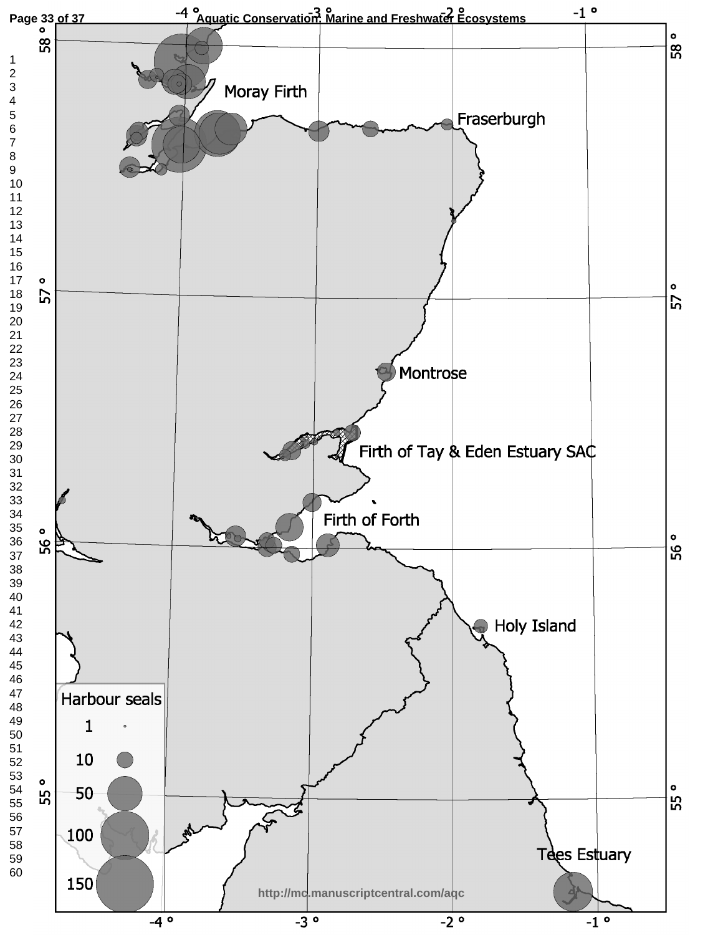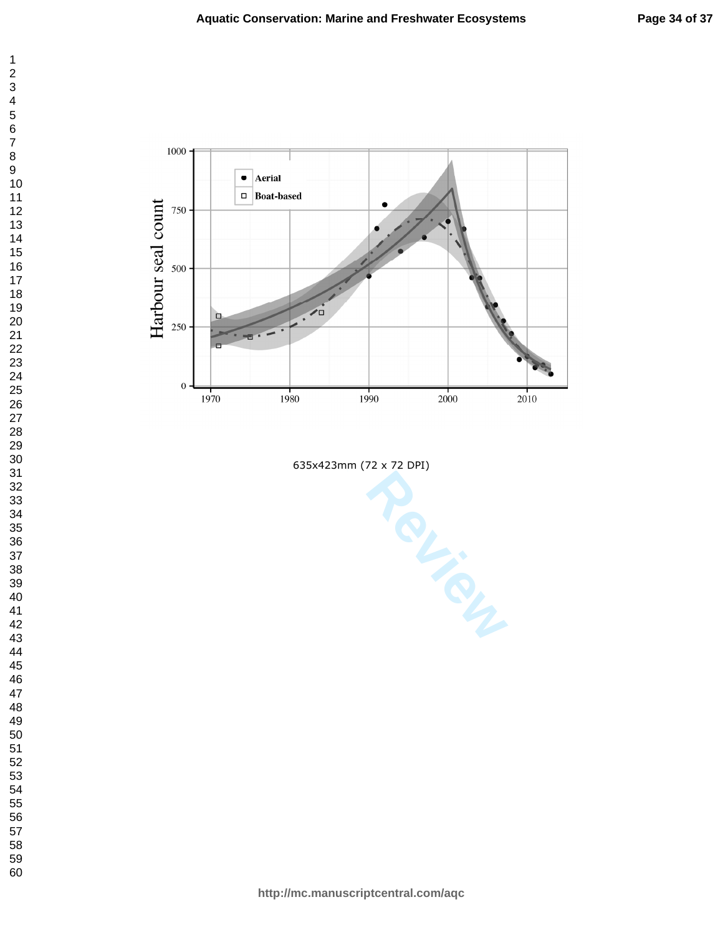$\mathbf 1$ 



**Aquatic Conservation: Marine and Freshwater Ecosystems**

635x423mm (72 x 72 DPI)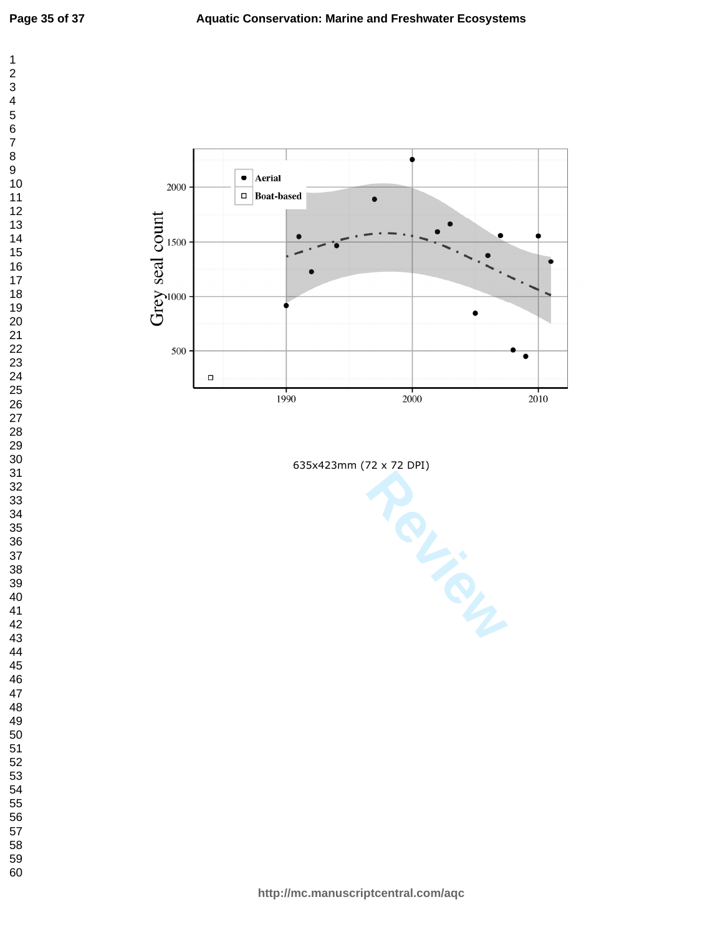



635x423mm (72 x 72 DPI)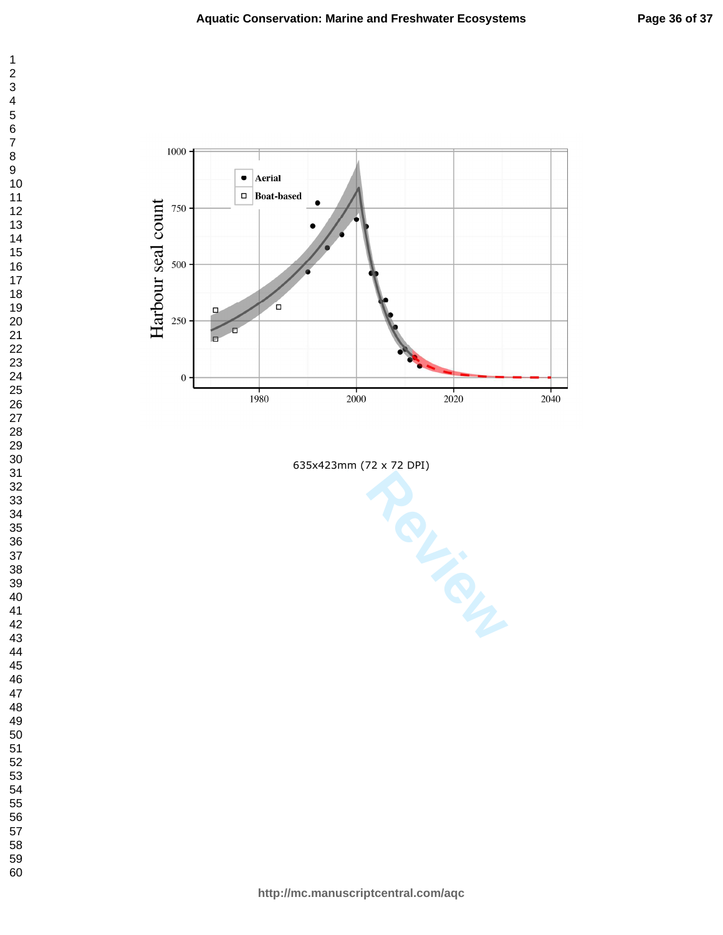$\mathbf 1$ 



**Aquatic Conservation: Marine and Freshwater Ecosystems**

635x423mm (72 x 72 DPI)

**http://mc.manuscriptcentral.com/aqc**